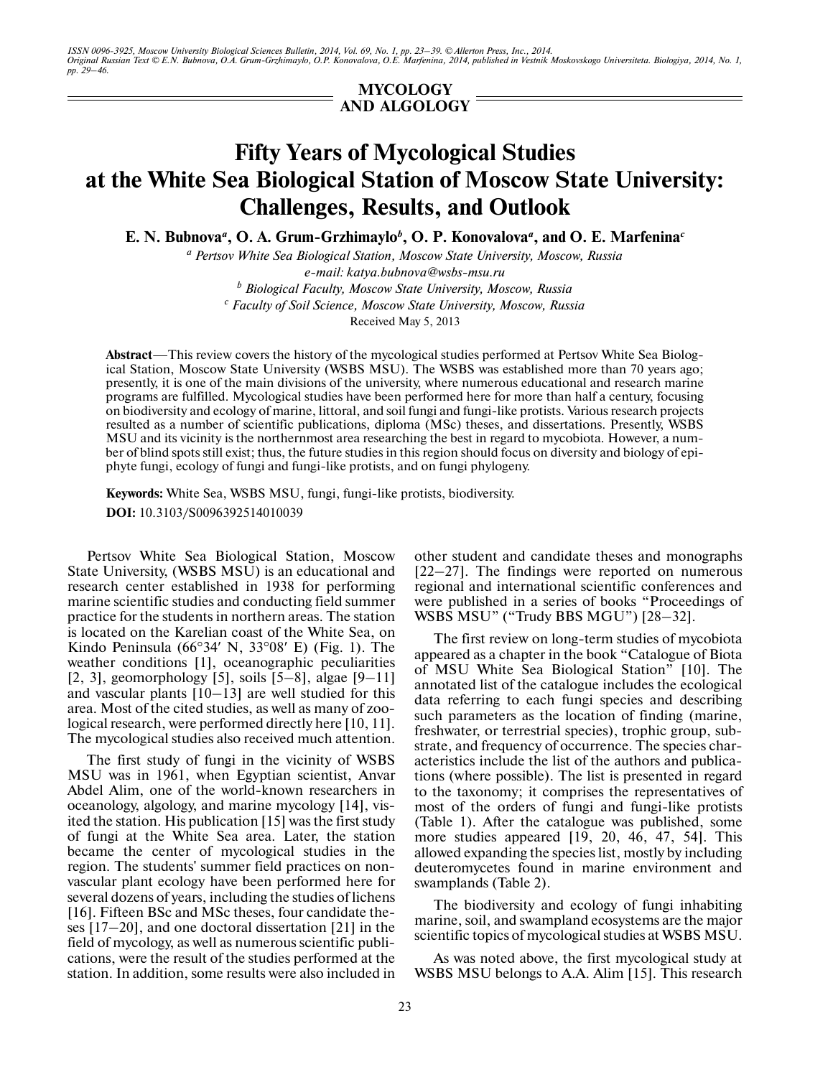ISSN 0096-3925, Moscow University Biological Sciences Bulletin, 2014, Vol. 69, No. 1, pp. 23–39. © Allerton Press, Inc., 2014.<br>Original Russian Text © E.N. Bubnova, O.A. Grum-Grzhimaylo, O.P. Konovalova, O.E. Marfenina, 20 *pp. 29–46.*

> **MYCOLOGY AND ALGOLOGY**

# **Fifty Years of Mycological Studies at the White Sea Biological Station of Moscow State University: Challenges, Results, and Outlook**

**E. N. Bubnova***<sup>a</sup>* **, O. A. Grum-Grzhimaylo***<sup>b</sup>* **, O. P. Konovalova***<sup>a</sup>* **, and O. E. Marfenina***<sup>c</sup>*

*a Pertsov White Sea Biological Station, Moscow State University, Moscow, Russia e-mail: katya.bubnova@wsbs-msu.ru b Biological Faculty, Moscow State University, Moscow, Russia*

*c Faculty of Soil Science, Moscow State University, Moscow, Russia*

Received May 5, 2013

**Abstract**—This review covers the history of the mycological studies performed at Pertsov White Sea Biolog ical Station, Moscow State University (WSBS MSU). The WSBS was established more than 70 years ago; presently, it is one of the main divisions of the university, where numerous educational and research marine programs are fulfilled. Mycological studies have been performed here for more than half a century, focusing on biodiversity and ecology of marine, littoral, and soil fungi and fungi-like protists. Various research projects resulted as a number of scientific publications, diploma (MSc) theses, and dissertations. Presently, WSBS MSU and its vicinity is the northernmost area researching the best in regard to mycobiota. However, a num ber of blind spots still exist; thus, the future studies in this region should focus on diversity and biology of epi phyte fungi, ecology of fungi and fungi-like protists, and on fungi phylogeny.

**Keywords:** White Sea, WSBS MSU, fungi, fungi-like protists, biodiversity. **DOI:** 10.3103/S0096392514010039

Pertsov White Sea Biological Station, Moscow State University, (WSBS MSU) is an educational and research center established in 1938 for performing marine scientific studies and conducting field summer practice for the students in northern areas. The station is located on the Karelian coast of the White Sea, on Kindo Peninsula ( $66^{\circ}34'$  N,  $33^{\circ}08'$  E) (Fig. 1). The weather conditions [1], oceanographic peculiarities [2, 3], geomorphology [5], soils  $[5-8]$ , algae  $[9-11]$ and vascular plants [10–13] are well studied for this area. Most of the cited studies, as well as many of zoo logical research, were performed directly here [10, 11]. The mycological studies also received much attention.

The first study of fungi in the vicinity of WSBS MSU was in 1961, when Egyptian scientist, Anvar Abdel Alim, one of the world-known researchers in oceanology, algology, and marine mycology [14], vis ited the station. His publication [15] was the first study of fungi at the White Sea area. Later, the station became the center of mycological studies in the region. The students' summer field practices on non vascular plant ecology have been performed here for several dozens of years, including the studies of lichens [16]. Fifteen BSc and MSc theses, four candidate the ses [17–20], and one doctoral dissertation [21] in the field of mycology, as well as numerous scientific publi cations, were the result of the studies performed at the station. In addition, some results were also included in other student and candidate theses and monographs [22–27]. The findings were reported on numerous regional and international scientific conferences and were published in a series of books "Proceedings of WSBS MSU" ("Trudy BBS MGU") [28–32].

The first review on long-term studies of mycobiota appeared as a chapter in the book "Catalogue of Biota of MSU White Sea Biological Station" [10]. The annotated list of the catalogue includes the ecological data referring to each fungi species and describing such parameters as the location of finding (marine, freshwater, or terrestrial species), trophic group, sub strate, and frequency of occurrence. The species char acteristics include the list of the authors and publica tions (where possible). The list is presented in regard to the taxonomy; it comprises the representatives of most of the orders of fungi and fungi-like protists (Table 1). After the catalogue was published, some more studies appeared [19, 20, 46, 47, 54]. This allowed expanding the species list, mostly by including deuteromycetes found in marine environment and swamplands (Table 2).

The biodiversity and ecology of fungi inhabiting marine, soil, and swampland ecosystems are the major scientific topics of mycological studies at WSBS MSU.

As was noted above, the first mycological study at WSBS MSU belongs to A.A. Alim [15]. This research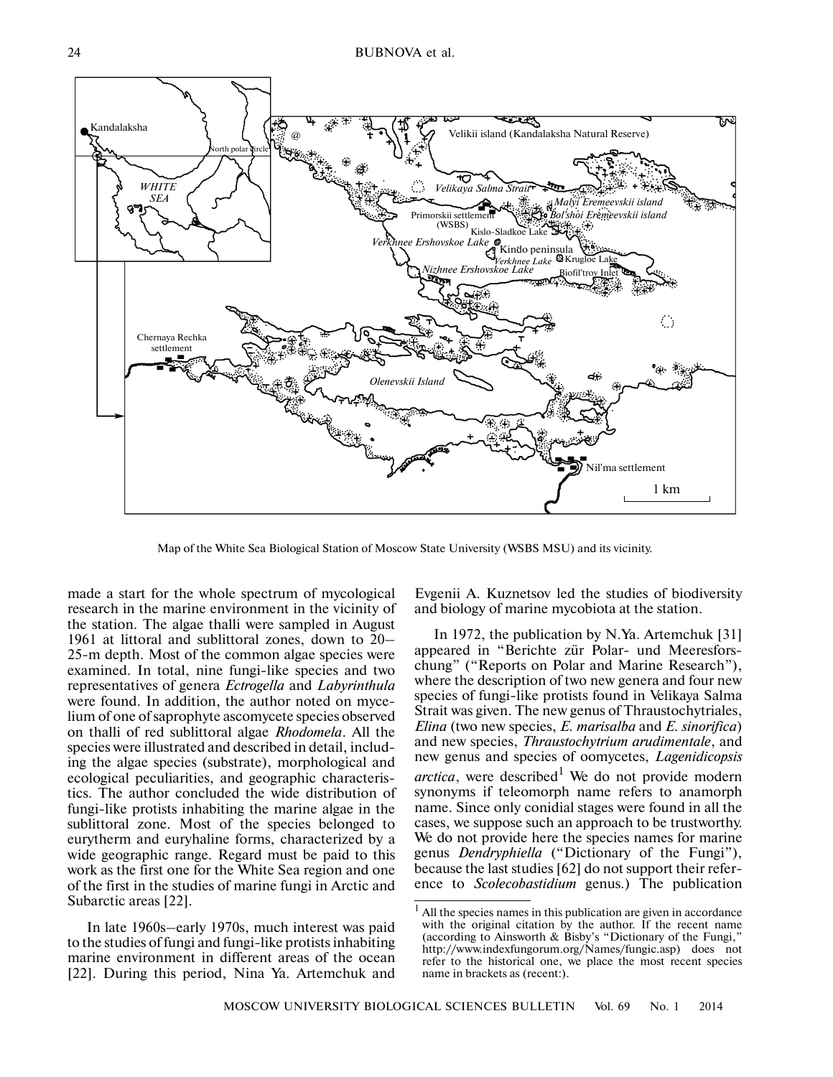

Map of the White Sea Biological Station of Moscow State University (WSBS MSU) and its vicinity.

made a start for the whole spectrum of mycological research in the marine environment in the vicinity of the station. The algae thalli were sampled in August 1961 at littoral and sublittoral zones, down to 20– 25-m depth. Most of the common algae species were examined. In total, nine fungi-like species and two representatives of genera *Ectrogella* and *Labyrinthula* were found. In addition, the author noted on myce lium of one of saprophyte ascomycete species observed on thalli of red sublittoral algae *Rhodomela*. All the species were illustrated and described in detail, includ ing the algae species (substrate), morphological and ecological peculiarities, and geographic characteris tics. The author concluded the wide distribution of fungi-like protists inhabiting the marine algae in the sublittoral zone. Most of the species belonged to eurytherm and euryhaline forms, characterized by a wide geographic range. Regard must be paid to this work as the first one for the White Sea region and one of the first in the studies of marine fungi in Arctic and Subarctic areas [22].

In late 1960s–early 1970s, much interest was paid to the studies of fungi and fungi-like protists inhabiting marine environment in different areas of the ocean [22]. During this period, Nina Ya. Artemchuk and

Evgenii A. Kuznetsov led the studies of biodiversity and biology of marine mycobiota at the station.

In 1972, the publication by N.Ya. Artemchuk [31] appeared in "Berichte zür Polar- und Meeresfors chung" ("Reports on Polar and Marine Research"), where the description of two new genera and four new species of fungi-like protists found in Velikaya Salma Strait was given. The new genus of Thraustochytriales, *Elina* (two new species, *E. marisalba* and *E. sinorifica*) and new species, *Thraustochytrium arudimentale*, and new genus and species of oomycetes, *Lagenidicopsis arctica*, were described<sup>1</sup> We do not provide modern synonyms if teleomorph name refers to anamorph name. Since only conidial stages were found in all the cases, we suppose such an approach to be trustworthy. We do not provide here the species names for marine genus *Dendryphiella* ("Dictionary of the Fungi"), because the last studies [62] do not support their refer ence to *Scolecobastidium* genus.) The publication

All the species names in this publication are given in accordance with the original citation by the author. If the recent name (according to Ainsworth & Bisby's "Dictionary of the Fungi," http://www.indexfungorum.org/Names/fungic.asp) does not refer to the historical one, we place the most recent species name in brackets as (recent:).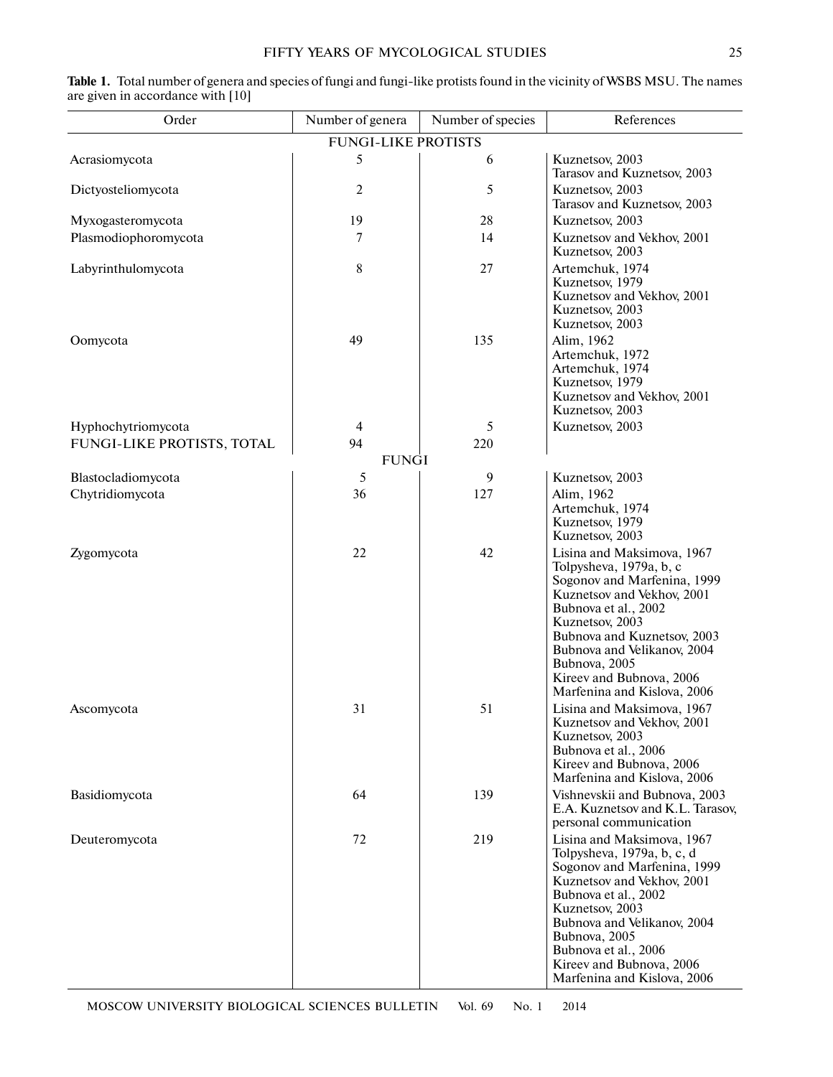| Order                      | Number of genera           | Number of species | References                                                                                                                                                                                                                                                                                              |
|----------------------------|----------------------------|-------------------|---------------------------------------------------------------------------------------------------------------------------------------------------------------------------------------------------------------------------------------------------------------------------------------------------------|
|                            | <b>FUNGI-LIKE PROTISTS</b> |                   |                                                                                                                                                                                                                                                                                                         |
| Acrasiomycota              | 5                          | 6                 | Kuznetsov, 2003<br>Tarasov and Kuznetsov, 2003                                                                                                                                                                                                                                                          |
| Dictyosteliomycota         | $\overline{2}$             | 5                 | Kuznetsov, 2003<br>Tarasov and Kuznetsov, 2003                                                                                                                                                                                                                                                          |
| Myxogasteromycota          | 19                         | 28                | Kuznetsov, 2003                                                                                                                                                                                                                                                                                         |
| Plasmodiophoromycota       | 7                          | 14                | Kuznetsov and Vekhov, 2001<br>Kuznetsov, 2003                                                                                                                                                                                                                                                           |
| Labyrinthulomycota         | $\,$ 8 $\,$                | 27                | Artemchuk, 1974<br>Kuznetsov, 1979<br>Kuznetsov and Vekhov, 2001<br>Kuznetsov, 2003<br>Kuznetsov, 2003                                                                                                                                                                                                  |
| Oomycota                   | 49                         | 135               | Alim, 1962<br>Artemchuk, 1972<br>Artemchuk, 1974<br>Kuznetsov, 1979<br>Kuznetsov and Vekhov, 2001<br>Kuznetsov, 2003                                                                                                                                                                                    |
| Hyphochytriomycota         | $\overline{4}$             | 5                 | Kuznetsov, 2003                                                                                                                                                                                                                                                                                         |
| FUNGI-LIKE PROTISTS, TOTAL | 94                         | 220               |                                                                                                                                                                                                                                                                                                         |
|                            | <b>FUNGI</b>               |                   |                                                                                                                                                                                                                                                                                                         |
| Blastocladiomycota         | 5                          | 9                 | Kuznetsov, 2003                                                                                                                                                                                                                                                                                         |
| Chytridiomycota            | 36                         | 127               | Alim, 1962<br>Artemchuk, 1974<br>Kuznetsov, 1979<br>Kuznetsov, 2003                                                                                                                                                                                                                                     |
| Zygomycota                 | 22                         | 42                | Lisina and Maksimova, 1967<br>Tolpysheva, 1979a, b, c<br>Sogonov and Marfenina, 1999<br>Kuznetsov and Vekhov, 2001<br>Bubnova et al., 2002<br>Kuznetsov, 2003<br>Bubnova and Kuznetsov, 2003<br>Bubnova and Velikanov, 2004<br>Bubnova, 2005<br>Kireev and Bubnova, 2006<br>Marfenina and Kislova, 2006 |
| Ascomycota                 | 31                         | 51                | Lisina and Maksimova, 1967<br>Kuznetsov and Vekhov, 2001<br>Kuznetsov, 2003<br>Bubnova et al., 2006<br>Kireev and Bubnova, 2006<br>Marfenina and Kislova, 2006                                                                                                                                          |
| Basidiomycota              | 64                         | 139               | Vishnevskii and Bubnova, 2003<br>E.A. Kuznetsov and K.L. Tarasov,<br>personal communication                                                                                                                                                                                                             |
| Deuteromycota              | 72                         | 219               | Lisina and Maksimova, 1967<br>Tolpysheva, 1979a, b, c, d<br>Sogonov and Marfenina, 1999<br>Kuznetsov and Vekhov, 2001<br>Bubnova et al., 2002<br>Kuznetsov, 2003<br>Bubnova and Velikanov, 2004<br>Bubnova, 2005<br>Bubnova et al., 2006<br>Kireev and Bubnova, 2006<br>Marfenina and Kislova, 2006     |

| Table 1. Total number of genera and species of fungi and fungi-like protists found in the vicinity of WSBS MSU. The names |  |
|---------------------------------------------------------------------------------------------------------------------------|--|
| are given in accordance with [10]                                                                                         |  |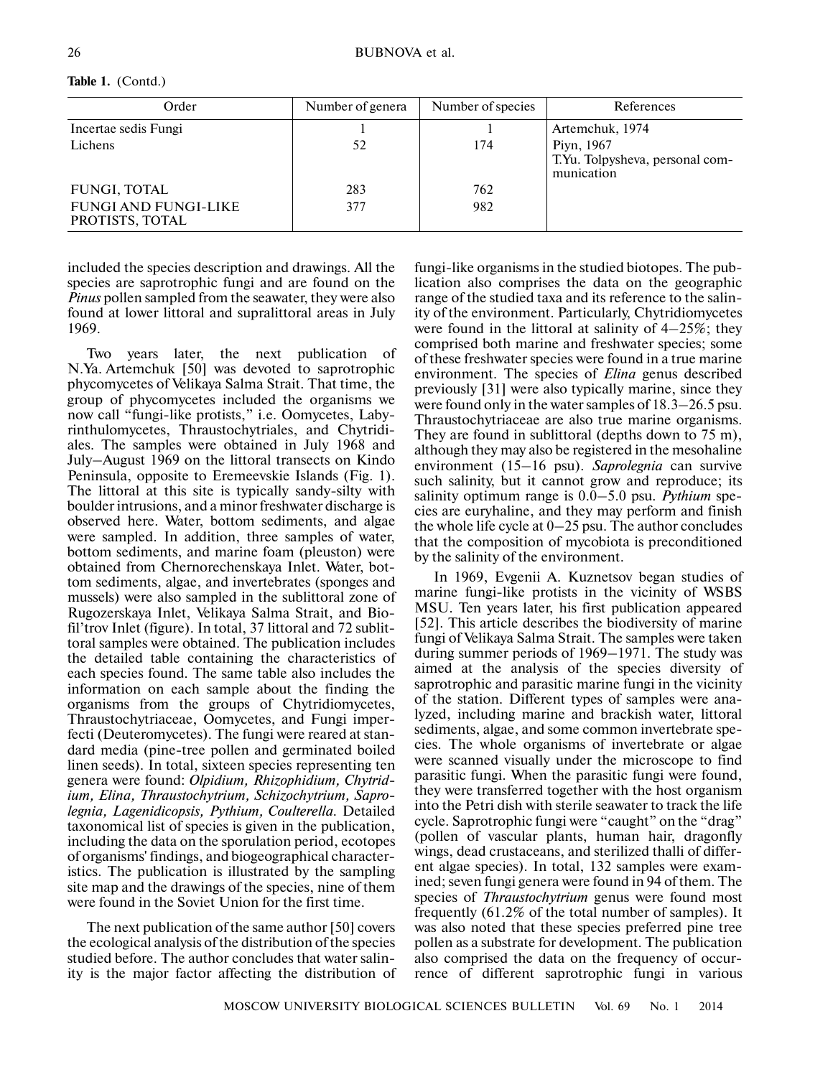| Order                                   | Number of genera | Number of species | References                                                  |
|-----------------------------------------|------------------|-------------------|-------------------------------------------------------------|
| Incertae sedis Fungi                    |                  |                   | Artemchuk, 1974                                             |
| Lichens                                 | 52               | 174               | Piyn, 1967<br>T.Yu. Tolpysheva, personal com-<br>munication |
| <b>FUNGI, TOTAL</b>                     | 283              | 762               |                                                             |
| FUNGI AND FUNGI-LIKE<br>PROTISTS, TOTAL | 377              | 982               |                                                             |

**Table 1.** (Contd.)

included the species description and drawings. All the species are saprotrophic fungi and are found on the *Pinus* pollen sampled from the seawater, they were also found at lower littoral and supralittoral areas in July 1969.

Two years later, the next publication of N.Ya. Artemchuk [50] was devoted to saprotrophic phycomycetes of Velikaya Salma Strait. That time, the group of phycomycetes included the organisms we now call "fungi-like protists," i.e. Oomycetes, Laby rinthulomycetes, Thraustochytriales, and Chytridi ales. The samples were obtained in July 1968 and July–August 1969 on the littoral transects on Kindo Peninsula, opposite to Eremeevskie Islands (Fig. 1). The littoral at this site is typically sandy-silty with boulder intrusions, and a minor freshwater discharge is observed here. Water, bottom sediments, and algae were sampled. In addition, three samples of water, bottom sediments, and marine foam (pleuston) were obtained from Chernorechenskaya Inlet. Water, bot tom sediments, algae, and invertebrates (sponges and mussels) were also sampled in the sublittoral zone of Rugozerskaya Inlet, Velikaya Salma Strait, and Bio fil'trov Inlet (figure). In total, 37 littoral and 72 sublit toral samples were obtained. The publication includes the detailed table containing the characteristics of each species found. The same table also includes the information on each sample about the finding the organisms from the groups of Chytridiomycetes, Thraustochytriaceae, Oomycetes, and Fungi imper fecti (Deuteromycetes). The fungi were reared at stan dard media (pine-tree pollen and germinated boiled linen seeds). In total, sixteen species representing ten genera were found: *Olpidium, Rhizophidium, Chytrid ium, Elina, Thraustochytrium, Schizochytrium, Sapro legnia, Lagenidicopsis, Pythium, Coulterella.* Detailed taxonomical list of species is given in the publication, including the data on the sporulation period, ecotopes of organisms' findings, and biogeographical character istics. The publication is illustrated by the sampling site map and the drawings of the species, nine of them were found in the Soviet Union for the first time.

The next publication of the same author [50] covers the ecological analysis of the distribution of the species studied before. The author concludes that water salin ity is the major factor affecting the distribution of

fungi-like organisms in the studied biotopes. The pub lication also comprises the data on the geographic range of the studied taxa and its reference to the salin ity of the environment. Particularly, Chytridiomycetes were found in the littoral at salinity of 4–25%; they comprised both marine and freshwater species; some of these freshwater species were found in a true marine environment. The species of *Elina* genus described previously [31] were also typically marine, since they were found only in the water samples of 18.3–26.5 psu. Thraustochytriaceae are also true marine organisms. They are found in sublittoral (depths down to 75 m), although they may also be registered in the mesohaline environment (15–16 psu). *Saprolegnia* can survive such salinity, but it cannot grow and reproduce; its salinity optimum range is 0.0–5.0 psu. *Pythium* spe cies are euryhaline, and they may perform and finish the whole life cycle at 0–25 psu. The author concludes that the composition of mycobiota is preconditioned by the salinity of the environment.

In 1969, Evgenii A. Kuznetsov began studies of marine fungi-like protists in the vicinity of WSBS MSU. Ten years later, his first publication appeared [52]. This article describes the biodiversity of marine fungi of Velikaya Salma Strait. The samples were taken during summer periods of 1969–1971. The study was aimed at the analysis of the species diversity of saprotrophic and parasitic marine fungi in the vicinity of the station. Different types of samples were ana lyzed, including marine and brackish water, littoral sediments, algae, and some common invertebrate spe cies. The whole organisms of invertebrate or algae were scanned visually under the microscope to find parasitic fungi. When the parasitic fungi were found, they were transferred together with the host organism into the Petri dish with sterile seawater to track the life cycle. Saprotrophic fungi were "caught" on the "drag" (pollen of vascular plants, human hair, dragonfly wings, dead crustaceans, and sterilized thalli of differ ent algae species). In total, 132 samples were exam ined; seven fungi genera were found in 94 of them. The species of *Thraustochytrium* genus were found most frequently (61.2% of the total number of samples). It was also noted that these species preferred pine tree pollen as a substrate for development. The publication also comprised the data on the frequency of occur rence of different saprotrophic fungi in various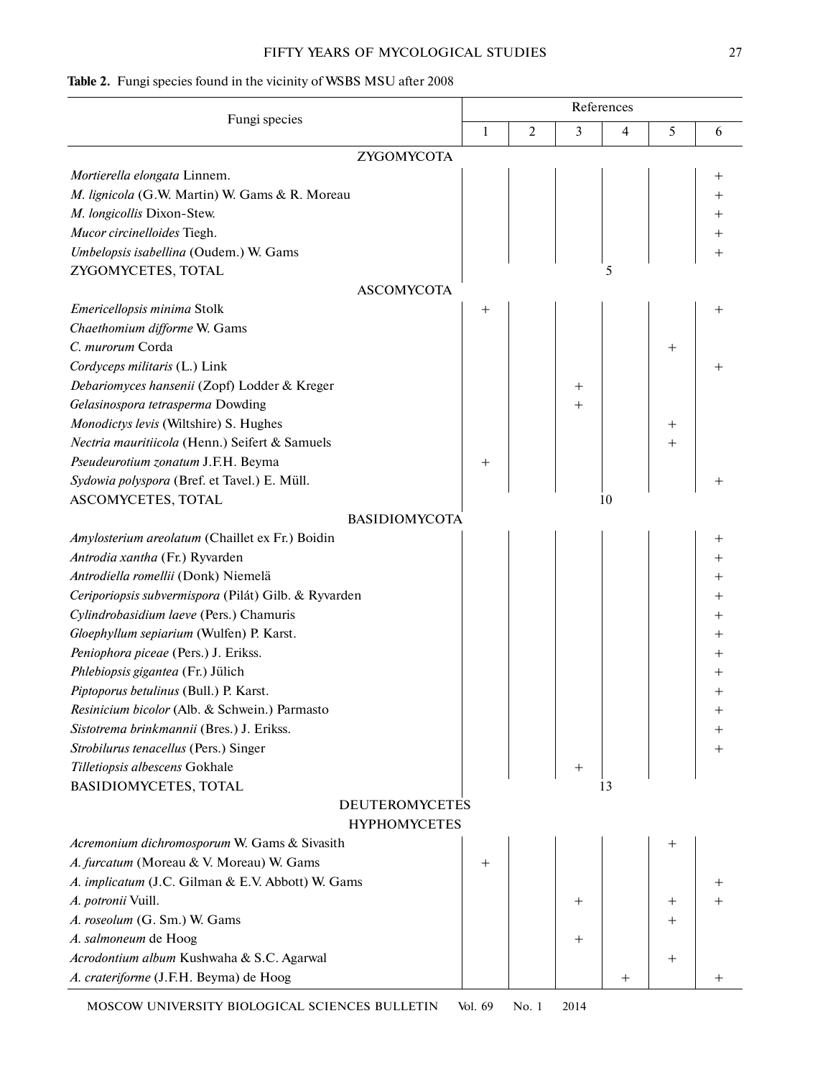## FIFTY YEARS OF MYCOLOGICAL STUDIES 27

# **Table 2.** Fungi species found in the vicinity of WSBS MSU after 2008

| Fungi species                                        | References |   |        |        |                    |                    |  |
|------------------------------------------------------|------------|---|--------|--------|--------------------|--------------------|--|
|                                                      |            | 2 | 3      | 4      | 5                  | 6                  |  |
| ZYGOMYCOTA                                           |            |   |        |        |                    |                    |  |
| Mortierella elongata Linnem.                         |            |   |        |        |                    |                    |  |
| M. lignicola (G.W. Martin) W. Gams & R. Moreau       |            |   |        |        |                    | $^+$               |  |
| M. longicollis Dixon-Stew.                           |            |   |        |        |                    |                    |  |
| Mucor circinelloides Tiegh.                          |            |   |        |        |                    |                    |  |
| Umbelopsis isabellina (Oudem.) W. Gams               |            |   |        |        |                    |                    |  |
| ZYGOMYCETES, TOTAL                                   |            |   |        | 5      |                    |                    |  |
| <b>ASCOMYCOTA</b>                                    |            |   |        |        |                    |                    |  |
| Emericellopsis minima Stolk                          | $^+$       |   |        |        |                    |                    |  |
| Chaethomium difforme W. Gams                         |            |   |        |        |                    |                    |  |
| C. murorum Corda                                     |            |   |        |        | $^{+}$             |                    |  |
| Cordyceps militaris (L.) Link                        |            |   |        |        |                    | $\, +$             |  |
| Debariomyces hansenii (Zopf) Lodder & Kreger         |            |   | $^{+}$ |        |                    |                    |  |
| Gelasinospora tetrasperma Dowding                    |            |   | $^+$   |        |                    |                    |  |
| Monodictys levis (Wiltshire) S. Hughes               |            |   |        |        | $^+$               |                    |  |
| Nectria mauritiicola (Henn.) Seifert & Samuels       |            |   |        |        | $^{+}$             |                    |  |
| Pseudeurotium zonatum J.F.H. Beyma                   | $^{+}$     |   |        |        |                    |                    |  |
| Sydowia polyspora (Bref. et Tavel.) E. Müll.         |            |   |        |        |                    |                    |  |
| ASCOMYCETES, TOTAL                                   |            |   |        | 10     |                    |                    |  |
| <b>BASIDIOMYCOTA</b>                                 |            |   |        |        |                    |                    |  |
| Amylosterium areolatum (Chaillet ex Fr.) Boidin      |            |   |        |        |                    | $^+$               |  |
| Antrodia xantha (Fr.) Ryvarden                       |            |   |        |        |                    | $^+$               |  |
| Antrodiella romellii (Donk) Niemelä                  |            |   |        |        |                    | $\,{}^+$           |  |
| Ceriporiopsis subvermispora (Pilát) Gilb. & Ryvarden |            |   |        |        |                    |                    |  |
| Cylindrobasidium laeve (Pers.) Chamuris              |            |   |        |        |                    | ┿                  |  |
| Gloephyllum sepiarium (Wulfen) P. Karst.             |            |   |        |        |                    | $\hspace{0.1mm} +$ |  |
| Peniophora piceae (Pers.) J. Erikss.                 |            |   |        |        |                    |                    |  |
| Phlebiopsis gigantea (Fr.) Jülich                    |            |   |        |        |                    | ┿                  |  |
| Piptoporus betulinus (Bull.) P. Karst.               |            |   |        |        |                    | $^+$               |  |
| Resinicium bicolor (Alb. & Schwein.) Parmasto        |            |   |        |        |                    |                    |  |
| Sistotrema brinkmannii (Bres.) J. Erikss.            |            |   |        |        |                    |                    |  |
| Strobilurus tenacellus (Pers.) Singer                |            |   |        |        |                    |                    |  |
| Tilletiopsis albescens Gokhale                       |            |   | $\,^+$ |        |                    |                    |  |
| BASIDIOMYCETES, TOTAL                                |            |   |        | 13     |                    |                    |  |
| <b>DEUTEROMYCETES</b>                                |            |   |        |        |                    |                    |  |
| <b>HYPHOMYCETES</b>                                  |            |   |        |        |                    |                    |  |
| Acremonium dichromosporum W. Gams & Sivasith         |            |   |        |        | $^+$               |                    |  |
| A. furcatum (Moreau & V. Moreau) W. Gams             | $^{+}$     |   |        |        |                    |                    |  |
| A. implicatum (J.C. Gilman & E.V. Abbott) W. Gams    |            |   |        |        |                    |                    |  |
| A. potronii Vuill.                                   |            |   | $^+$   |        | $^+$               |                    |  |
| A. roseolum (G. Sm.) W. Gams                         |            |   |        |        |                    |                    |  |
| A. salmoneum de Hoog                                 |            |   |        |        |                    |                    |  |
| Acrodontium album Kushwaha & S.C. Agarwal            |            |   |        |        | $\hspace{0.1mm} +$ |                    |  |
| A. crateriforme (J.F.H. Beyma) de Hoog               |            |   |        | $^{+}$ |                    | $^+$               |  |

MOSCOW UNIVERSITY BIOLOGICAL SCIENCES BULLETIN Vol. 69 No. 1 2014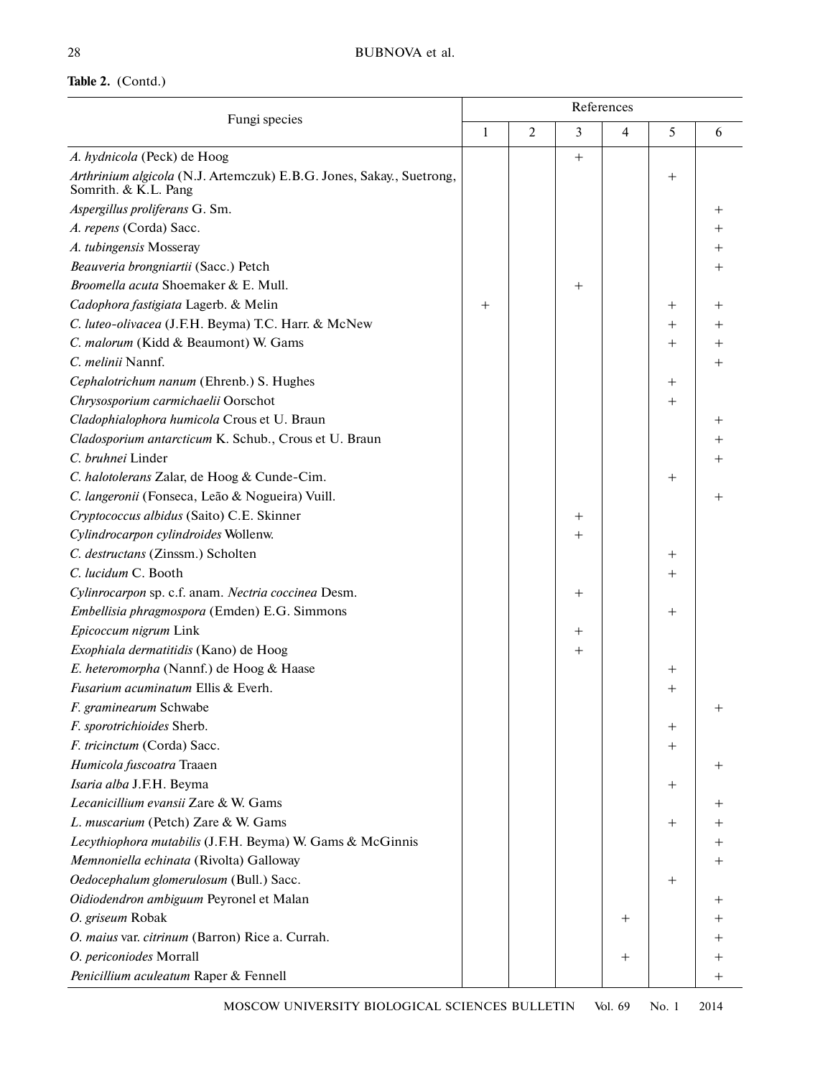# **Table 2.** (Contd.)

| Fungi species                                                                                |        | References     |                                  |        |                                  |      |  |  |
|----------------------------------------------------------------------------------------------|--------|----------------|----------------------------------|--------|----------------------------------|------|--|--|
|                                                                                              |        | $\overline{2}$ | 3                                | 4      | 5                                | 6    |  |  |
| A. hydnicola (Peck) de Hoog                                                                  |        |                | $+$                              |        |                                  |      |  |  |
| Arthrinium algicola (N.J. Artemczuk) E.B.G. Jones, Sakay., Suetrong,<br>Somrith. & K.L. Pang |        |                |                                  |        | $\hspace{0.1mm} +$               |      |  |  |
| Aspergillus proliferans G. Sm.                                                               |        |                |                                  |        |                                  | $^+$ |  |  |
| A. repens (Corda) Sacc.                                                                      |        |                |                                  |        |                                  | $^+$ |  |  |
| A. tubingensis Mosseray                                                                      |        |                |                                  |        |                                  |      |  |  |
| Beauveria brongniartii (Sacc.) Petch                                                         |        |                |                                  |        |                                  |      |  |  |
| Broomella acuta Shoemaker & E. Mull.                                                         |        |                | $^{+}$                           |        |                                  |      |  |  |
| Cadophora fastigiata Lagerb. & Melin                                                         | $^{+}$ |                |                                  |        | $\hspace{0.1mm} +$               |      |  |  |
| C. luteo-olivacea (J.F.H. Beyma) T.C. Harr. & McNew                                          |        |                |                                  |        | $^{+}$                           |      |  |  |
| C. malorum (Kidd & Beaumont) W. Gams                                                         |        |                |                                  |        | $\hspace{0.1mm} +$               |      |  |  |
| C. melinii Nannf.                                                                            |        |                |                                  |        |                                  |      |  |  |
| Cephalotrichum nanum (Ehrenb.) S. Hughes                                                     |        |                |                                  |        | $^{+}$                           |      |  |  |
| Chrysosporium carmichaelii Oorschot                                                          |        |                |                                  |        | $^{+}$                           |      |  |  |
| Cladophialophora humicola Crous et U. Braun                                                  |        |                |                                  |        |                                  |      |  |  |
| Cladosporium antarcticum K. Schub., Crous et U. Braun                                        |        |                |                                  |        |                                  |      |  |  |
| C. bruhnei Linder                                                                            |        |                |                                  |        |                                  |      |  |  |
| C. halotolerans Zalar, de Hoog & Cunde-Cim.                                                  |        |                |                                  |        | $\hspace{0.1mm} +$               |      |  |  |
| C. langeronii (Fonseca, Leão & Nogueira) Vuill.                                              |        |                |                                  |        |                                  |      |  |  |
| Cryptococcus albidus (Saito) C.E. Skinner                                                    |        |                | $^{+}$                           |        |                                  |      |  |  |
| Cylindrocarpon cylindroides Wollenw.                                                         |        |                | $^{+}$                           |        |                                  |      |  |  |
| C. destructans (Zinssm.) Scholten                                                            |        |                |                                  |        | $^{+}$                           |      |  |  |
| C. lucidum C. Booth                                                                          |        |                |                                  |        | $^{+}$                           |      |  |  |
| Cylinrocarpon sp. c.f. anam. Nectria coccinea Desm.                                          |        |                | $^{+}$                           |        |                                  |      |  |  |
| Embellisia phragmospora (Emden) E.G. Simmons                                                 |        |                |                                  |        | $\hspace{0.1mm} +\hspace{0.1mm}$ |      |  |  |
| Epicoccum nigrum Link                                                                        |        |                | $\hspace{0.1mm} +\hspace{0.1mm}$ |        |                                  |      |  |  |
| Exophiala dermatitidis (Kano) de Hoog                                                        |        |                | $\hspace{0.1mm} +$               |        |                                  |      |  |  |
| E. heteromorpha (Nannf.) de Hoog & Haase                                                     |        |                |                                  |        | $^+$                             |      |  |  |
| Fusarium acuminatum Ellis & Everh.                                                           |        |                |                                  |        | $^{+}$                           |      |  |  |
| <i>F. graminearum</i> Schwabe                                                                |        |                |                                  |        |                                  |      |  |  |
| F. sporotrichioides Sherb.                                                                   |        |                |                                  |        | $^+$                             |      |  |  |
| F. tricinctum (Corda) Sacc.                                                                  |        |                |                                  |        | $\hspace{0.1mm} +$               |      |  |  |
| Humicola fuscoatra Traaen                                                                    |        |                |                                  |        |                                  |      |  |  |
| Isaria alba J.F.H. Beyma                                                                     |        |                |                                  |        | $\hspace{0.1mm} +$               |      |  |  |
| Lecanicillium evansii Zare & W. Gams                                                         |        |                |                                  |        |                                  |      |  |  |
| L. muscarium (Petch) Zare & W. Gams                                                          |        |                |                                  |        | $^{+}$                           |      |  |  |
| Lecythiophora mutabilis (J.F.H. Beyma) W. Gams & McGinnis                                    |        |                |                                  |        |                                  |      |  |  |
| Memnoniella echinata (Rivolta) Galloway                                                      |        |                |                                  |        |                                  |      |  |  |
| Oedocephalum glomerulosum (Bull.) Sacc.                                                      |        |                |                                  |        | $\hspace{0.1mm} +$               |      |  |  |
| Oidiodendron ambiguum Peyronel et Malan                                                      |        |                |                                  |        |                                  |      |  |  |
| O. griseum Robak                                                                             |        |                |                                  | $^+$   |                                  |      |  |  |
| O. maius var. citrinum (Barron) Rice a. Currah.                                              |        |                |                                  |        |                                  |      |  |  |
| O. periconiodes Morrall                                                                      |        |                |                                  | $^{+}$ |                                  |      |  |  |
| Penicillium aculeatum Raper & Fennell                                                        |        |                |                                  |        |                                  | $^+$ |  |  |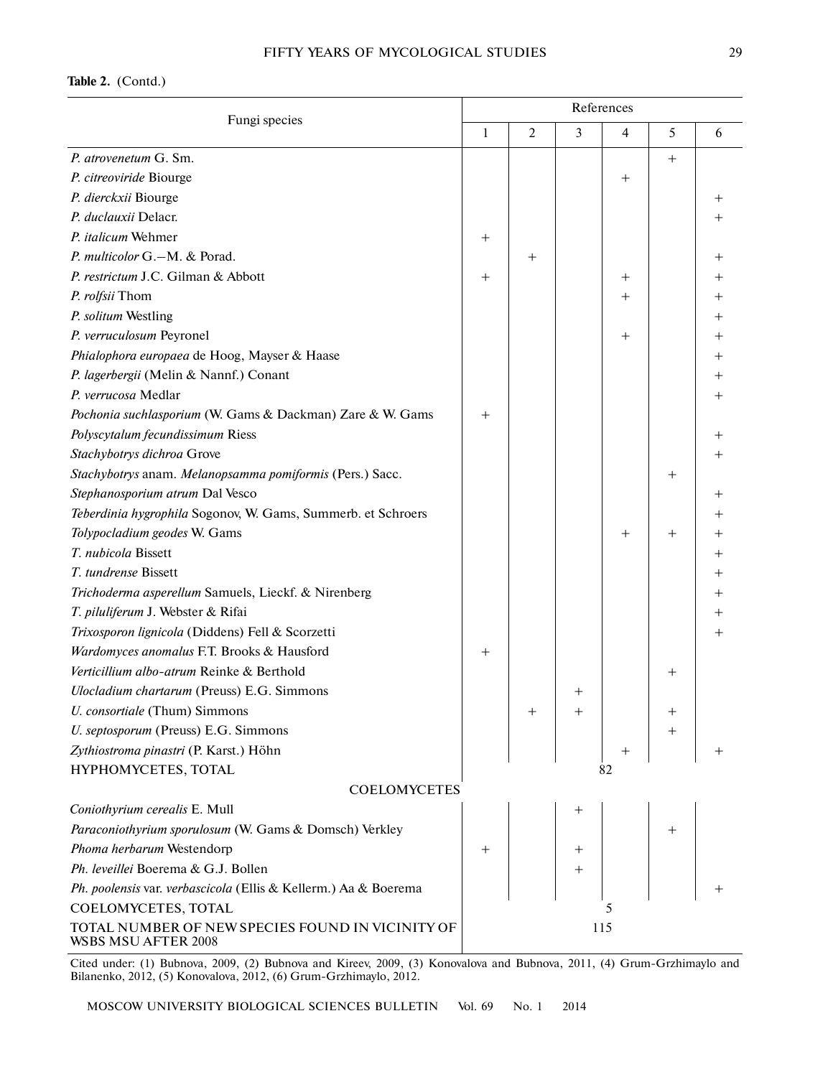### **Table 2.** (Contd.)

| Fungi species                                                           | References                       |                |                  |      |                    |      |  |
|-------------------------------------------------------------------------|----------------------------------|----------------|------------------|------|--------------------|------|--|
|                                                                         |                                  | $\overline{2}$ | 3                | 4    | 5                  | 6    |  |
| P. atrovenetum G. Sm.                                                   |                                  |                |                  |      | $^{+}$             |      |  |
| P. citreoviride Biourge                                                 |                                  |                |                  | $^+$ |                    |      |  |
| P. dierckxii Biourge                                                    |                                  |                |                  |      |                    | $^+$ |  |
| P. duclauxii Delacr.                                                    |                                  |                |                  |      |                    |      |  |
| P. italicum Wehmer                                                      | $\hspace{0.1mm} +\hspace{0.1mm}$ |                |                  |      |                    |      |  |
| P. multicolor G.-M. & Porad.                                            |                                  | $^+$           |                  |      |                    |      |  |
| P. restrictum J.C. Gilman & Abbott                                      | $\hspace{0.1mm} +\hspace{0.1mm}$ |                |                  | $^+$ |                    |      |  |
| P. rolfsii Thom                                                         |                                  |                |                  | $^+$ |                    |      |  |
| P. solitum Westling                                                     |                                  |                |                  |      |                    |      |  |
| P. verruculosum Peyronel                                                |                                  |                |                  | $^+$ |                    |      |  |
| Phialophora europaea de Hoog, Mayser & Haase                            |                                  |                |                  |      |                    |      |  |
| P. lagerbergii (Melin & Nannf.) Conant                                  |                                  |                |                  |      |                    |      |  |
| P. verrucosa Medlar                                                     |                                  |                |                  |      |                    |      |  |
| Pochonia suchlasporium (W. Gams & Dackman) Zare & W. Gams               | $^{+}$                           |                |                  |      |                    |      |  |
| Polyscytalum fecundissimum Riess                                        |                                  |                |                  |      |                    |      |  |
| Stachybotrys dichroa Grove                                              |                                  |                |                  |      |                    |      |  |
| Stachybotrys anam. Melanopsamma pomiformis (Pers.) Sacc.                |                                  |                |                  |      | $^{+}$             |      |  |
| Stephanosporium atrum Dal Vesco                                         |                                  |                |                  |      |                    |      |  |
| Teberdinia hygrophila Sogonov, W. Gams, Summerb. et Schroers            |                                  |                |                  |      |                    |      |  |
| Tolypocladium geodes W. Gams                                            |                                  |                |                  | $^+$ | $\hspace{0.1mm} +$ |      |  |
| T. nubicola Bissett                                                     |                                  |                |                  |      |                    |      |  |
| T. tundrense Bissett                                                    |                                  |                |                  |      |                    |      |  |
| Trichoderma asperellum Samuels, Lieckf. & Nirenberg                     |                                  |                |                  |      |                    |      |  |
| T. piluliferum J. Webster & Rifai                                       |                                  |                |                  |      |                    |      |  |
| Trixosporon lignicola (Diddens) Fell & Scorzetti                        |                                  |                |                  |      |                    |      |  |
| Wardomyces anomalus F.T. Brooks & Hausford                              | $^{+}$                           |                |                  |      |                    |      |  |
| Verticillium albo-atrum Reinke & Berthold                               |                                  |                |                  |      | $\hspace{0.1mm} +$ |      |  |
| Ulocladium chartarum (Preuss) E.G. Simmons                              |                                  |                | $^+$             |      |                    |      |  |
| U. consortiale (Thum) Simmons                                           |                                  |                |                  |      |                    |      |  |
| U. septosporum (Preuss) E.G. Simmons                                    |                                  |                |                  |      |                    |      |  |
| Zythiostroma pinastri (P. Karst.) Höhn                                  |                                  |                |                  |      |                    |      |  |
| HYPHOMYCETES, TOTAL                                                     |                                  |                |                  | 82   |                    |      |  |
| <b>COELOMYCETES</b>                                                     |                                  |                |                  |      |                    |      |  |
| Coniothyrium cerealis E. Mull                                           |                                  |                | $^+$             |      |                    |      |  |
| Paraconiothyrium sporulosum (W. Gams & Domsch) Verkley                  |                                  |                |                  |      | $\hspace{0.1mm} +$ |      |  |
| Phoma herbarum Westendorp                                               | $+$                              |                | $\boldsymbol{+}$ |      |                    |      |  |
| Ph. leveillei Boerema & G.J. Bollen                                     |                                  |                | $^+$             |      |                    |      |  |
| Ph. poolensis var. verbascicola (Ellis & Kellerm.) Aa & Boerema         |                                  |                |                  |      |                    |      |  |
| COELOMYCETES, TOTAL                                                     |                                  |                |                  | 5    |                    |      |  |
| TOTAL NUMBER OF NEW SPECIES FOUND IN VICINITY OF<br>WSBS MSU AFTER 2008 |                                  |                | 115              |      |                    |      |  |

Cited under: (1) Bubnova, 2009, (2) Bubnova and Kireev, 2009, (3) Konovalova and Bubnova, 2011, (4) Grum-Grzhimaylo and Bilanenko, 2012, (5) Konovalova, 2012, (6) Grum-Grzhimaylo, 2012.

MOSCOW UNIVERSITY BIOLOGICAL SCIENCES BULLETIN Vol. 69 No. 1 2014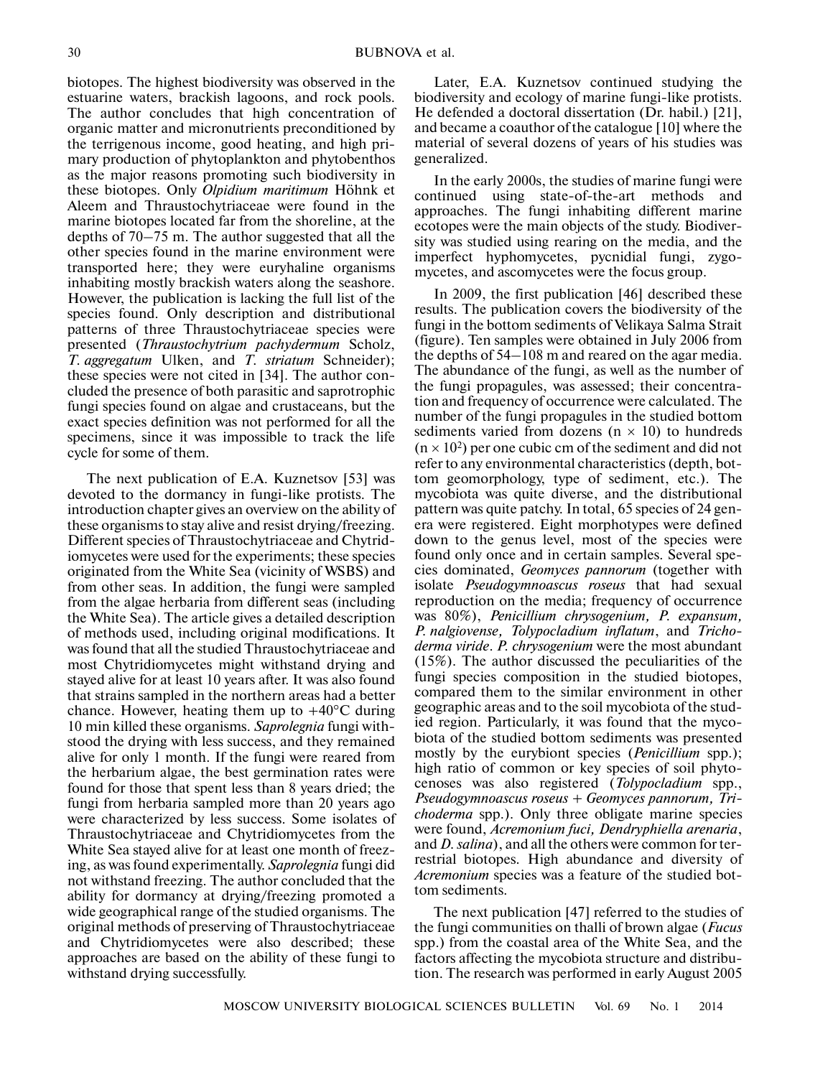biotopes. The highest biodiversity was observed in the estuarine waters, brackish lagoons, and rock pools. The author concludes that high concentration of organic matter and micronutrients preconditioned by the terrigenous income, good heating, and high pri mary production of phytoplankton and phytobenthos as the major reasons promoting such biodiversity in these biotopes. Only *Olpidium maritimum* Höhnk et Aleem and Thraustochytriaceae were found in the marine biotopes located far from the shoreline, at the depths of 70–75 m. The author suggested that all the other species found in the marine environment were transported here; they were euryhaline organisms inhabiting mostly brackish waters along the seashore. However, the publication is lacking the full list of the species found. Only description and distributional patterns of three Thraustochytriaceae species were presented (*Thraustochytrium pachydermum* Scholz, *T. aggregatum* Ulken, and *T. striatum* Schneider); these species were not cited in [34]. The author con cluded the presence of both parasitic and saprotrophic fungi species found on algae and crustaceans, but the exact species definition was not performed for all the specimens, since it was impossible to track the life cycle for some of them.

The next publication of E.A. Kuznetsov [53] was devoted to the dormancy in fungi-like protists. The introduction chapter gives an overview on the ability of these organisms to stay alive and resist drying/freezing. Different species of Thraustochytriaceae and Chytrid iomycetes were used for the experiments; these species originated from the White Sea (vicinity of WSBS) and from other seas. In addition, the fungi were sampled from the algae herbaria from different seas (including the White Sea). The article gives a detailed description of methods used, including original modifications. It was found that all the studied Thraustochytriaceae and most Chytridiomycetes might withstand drying and stayed alive for at least 10 years after. It was also found that strains sampled in the northern areas had a better chance. However, heating them up to  $+40^{\circ}$ C during 10 min killed these organisms. *Saprolegnia* fungi with stood the drying with less success, and they remained alive for only 1 month. If the fungi were reared from the herbarium algae, the best germination rates were found for those that spent less than 8 years dried; the fungi from herbaria sampled more than 20 years ago were characterized by less success. Some isolates of Thraustochytriaceae and Chytridiomycetes from the White Sea stayed alive for at least one month of freez ing, as was found experimentally. *Saprolegnia* fungi did not withstand freezing. The author concluded that the ability for dormancy at drying/freezing promoted a wide geographical range of the studied organisms. The original methods of preserving of Thraustochytriaceae and Chytridiomycetes were also described; these approaches are based on the ability of these fungi to withstand drying successfully.

Later, E.A. Kuznetsov continued studying the biodiversity and ecology of marine fungi-like protists. He defended a doctoral dissertation (Dr. habil.) [21], and became a coauthor of the catalogue [10] where the material of several dozens of years of his studies was generalized.

In the early 2000s, the studies of marine fungi were continued using state-of-the-art methods and approaches. The fungi inhabiting different marine ecotopes were the main objects of the study. Biodiver sity was studied using rearing on the media, and the imperfect hyphomycetes, pycnidial fungi, zygo mycetes, and ascomycetes were the focus group.

In 2009, the first publication [46] described these results. The publication covers the biodiversity of the fungi in the bottom sediments of Velikaya Salma Strait (figure). Ten samples were obtained in July 2006 from the depths of 54–108 m and reared on the agar media. The abundance of the fungi, as well as the number of the fungi propagules, was assessed; their concentra tion and frequency of occurrence were calculated. The number of the fungi propagules in the studied bottom sediments varied from dozens ( $n \times 10$ ) to hundreds  $(n \times 10^2)$  per one cubic cm of the sediment and did not refer to any environmental characteristics (depth, bot tom geomorphology, type of sediment, etc.). The mycobiota was quite diverse, and the distributional pattern was quite patchy. In total, 65 species of 24 gen era were registered. Eight morphotypes were defined down to the genus level, most of the species were found only once and in certain samples. Several spe cies dominated, *Geomyces pannorum* (together with isolate *Pseudogymnoascus roseus* that had sexual reproduction on the media; frequency of occurrence was 80%), *Penicillium chrysogenium, P. expansum, P. nalgiovense, Tolypocladium inflatum*, and *Tricho derma viride*. *P. chrysogenium* were the most abundant (15%). The author discussed the peculiarities of the fungi species composition in the studied biotopes, compared them to the similar environment in other geographic areas and to the soil mycobiota of the stud ied region. Particularly, it was found that the myco biota of the studied bottom sediments was presented mostly by the eurybiont species (*Penicillium* spp.); high ratio of common or key species of soil phyto cenoses was also registered (*Tolypocladium* spp., *Pseudogymnoascus roseus* + *Geomyces pannorum, Tri choderma* spp.). Only three obligate marine species were found, *Acremonium fuci, Dendryphiella arenaria*, and *D. salina*), and all the others were common for ter restrial biotopes. High abundance and diversity of *Acremonium* species was a feature of the studied bot tom sediments.

The next publication [47] referred to the studies of the fungi communities on thalli of brown algae (*Fucus* spp.) from the coastal area of the White Sea, and the factors affecting the mycobiota structure and distribu tion. The research was performed in early August 2005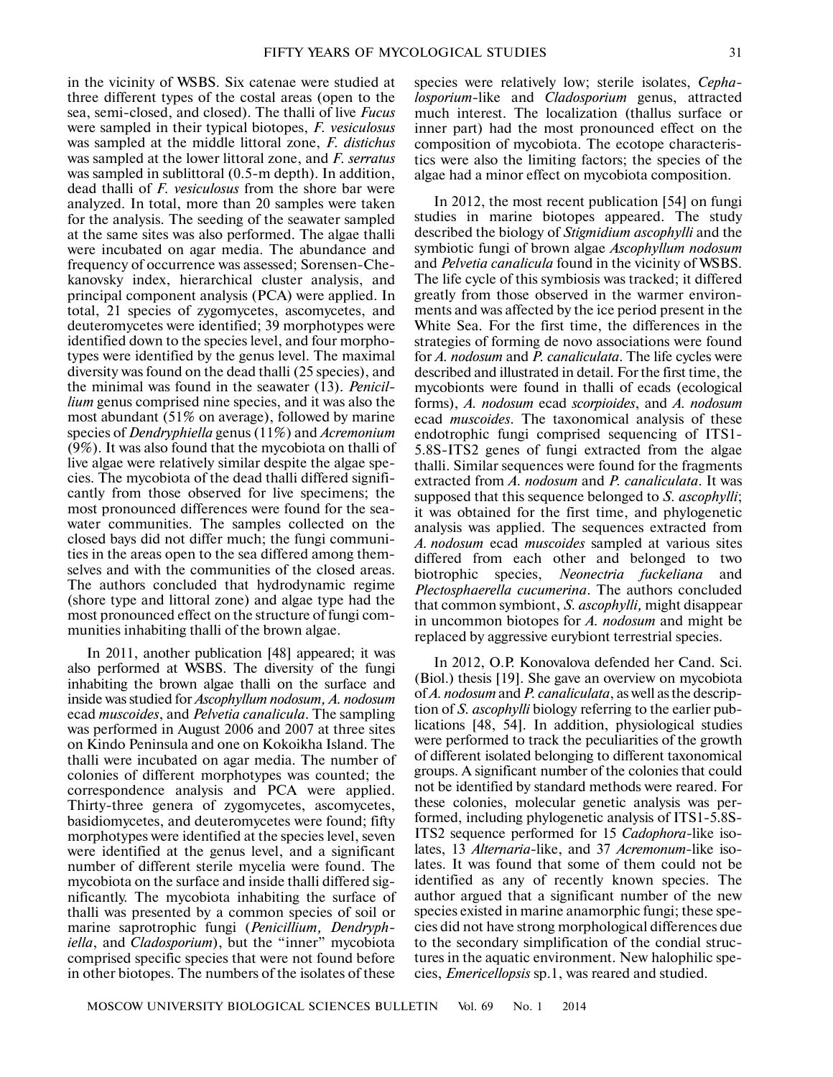in the vicinity of WSBS. Six catenae were studied at three different types of the costal areas (open to the sea, semi-closed, and closed). The thalli of live *Fucus* were sampled in their typical biotopes, *F. vesiculosus* was sampled at the middle littoral zone, *F. distichus* was sampled at the lower littoral zone, and *F. serratus* was sampled in sublittoral (0.5-m depth). In addition, dead thalli of *F. vesiculosus* from the shore bar were analyzed. In total, more than 20 samples were taken for the analysis. The seeding of the seawater sampled at the same sites was also performed. The algae thalli were incubated on agar media. The abundance and frequency of occurrence was assessed; Sorensen-Che kanovsky index, hierarchical cluster analysis, and principal component analysis (PCA) were applied. In total, 21 species of zygomycetes, ascomycetes, and deuteromycetes were identified; 39 morphotypes were identified down to the species level, and four morpho types were identified by the genus level. The maximal diversity was found on the dead thalli (25 species), and the minimal was found in the seawater (13). *Penicil lium* genus comprised nine species, and it was also the most abundant (51% on average), followed by marine species of *Dendryphiella* genus (11%) and *Acremonium* (9%). It was also found that the mycobiota on thalli of live algae were relatively similar despite the algae spe cies. The mycobiota of the dead thalli differed signifi cantly from those observed for live specimens; the most pronounced differences were found for the sea water communities. The samples collected on the closed bays did not differ much; the fungi communi ties in the areas open to the sea differed among them selves and with the communities of the closed areas. The authors concluded that hydrodynamic regime (shore type and littoral zone) and algae type had the most pronounced effect on the structure of fungi com munities inhabiting thalli of the brown algae.

In 2011, another publication [48] appeared; it was also performed at WSBS. The diversity of the fungi inhabiting the brown algae thalli on the surface and inside was studied for *Ascophyllum nodosum, A. nodosum* ecad *muscoides*, and *Pelvetia canalicula*. The sampling was performed in August 2006 and 2007 at three sites on Kindo Peninsula and one on Kokoikha Island. The thalli were incubated on agar media. The number of colonies of different morphotypes was counted; the correspondence analysis and PCA were applied. Thirty-three genera of zygomycetes, ascomycetes, basidiomycetes, and deuteromycetes were found; fifty morphotypes were identified at the species level, seven were identified at the genus level, and a significant number of different sterile mycelia were found. The mycobiota on the surface and inside thalli differed sig nificantly. The mycobiota inhabiting the surface of thalli was presented by a common species of soil or marine saprotrophic fungi (*Penicillium, Dendryph iella*, and *Cladosporium*), but the "inner" mycobiota comprised specific species that were not found before in other biotopes. The numbers of the isolates of these

species were relatively low; sterile isolates, *Cepha losporium*-like and *Cladosporium* genus, attracted much interest. The localization (thallus surface or inner part) had the most pronounced effect on the composition of mycobiota. The ecotope characteris tics were also the limiting factors; the species of the algae had a minor effect on mycobiota composition.

In 2012, the most recent publication [54] on fungi studies in marine biotopes appeared. The study described the biology of *Stigmidium ascophylli* and the symbiotic fungi of brown algae *Ascophyllum nodosum* and *Pelvetia canalicula* found in the vicinity of WSBS. The life cycle of this symbiosis was tracked; it differed greatly from those observed in the warmer environ ments and was affected by the ice period present in the White Sea. For the first time, the differences in the strategies of forming de novo associations were found for *A. nodosum* and *P. canaliculata*. The life cycles were described and illustrated in detail. For the first time, the mycobionts were found in thalli of ecads (ecological forms), *A. nodosum* ecad *scorpioides*, and *A. nodosum* ecad *muscoides*. The taxonomical analysis of these endotrophic fungi comprised sequencing of ITS1- 5.8S-ITS2 genes of fungi extracted from the algae thalli. Similar sequences were found for the fragments extracted from *A. nodosum* and *P. canaliculata*. It was supposed that this sequence belonged to *S. ascophylli*; it was obtained for the first time, and phylogenetic analysis was applied. The sequences extracted from *A. nodosum* ecad *muscoides* sampled at various sites differed from each other and belonged to two biotrophic species, *Neonectria fuckeliana* and *Plectosphaerella cucumerina*. The authors concluded that common symbiont, *S. ascophylli,* might disappear in uncommon biotopes for *A. nodosum* and might be replaced by aggressive eurybiont terrestrial species.

In 2012, O.P. Konovalova defended her Cand. Sci. (Biol.) thesis [19]. She gave an overview on mycobiota of *A. nodosum* and *P. canaliculata*, as well as the descrip tion of *S. ascophylli* biology referring to the earlier pub lications [48, 54]. In addition, physiological studies were performed to track the peculiarities of the growth of different isolated belonging to different taxonomical groups. A significant number of the colonies that could not be identified by standard methods were reared. For these colonies, molecular genetic analysis was per formed, including phylogenetic analysis of ITS1-5.8S- ITS2 sequence performed for 15 *Cadophora*-like iso lates, 13 *Alternaria*-like, and 37 *Acremonum*-like iso lates. It was found that some of them could not be identified as any of recently known species. The author argued that a significant number of the new species existed in marine anamorphic fungi; these spe cies did not have strong morphological differences due to the secondary simplification of the condial struc tures in the aquatic environment. New halophilic spe cies, *Emericellopsis* sp.1, was reared and studied.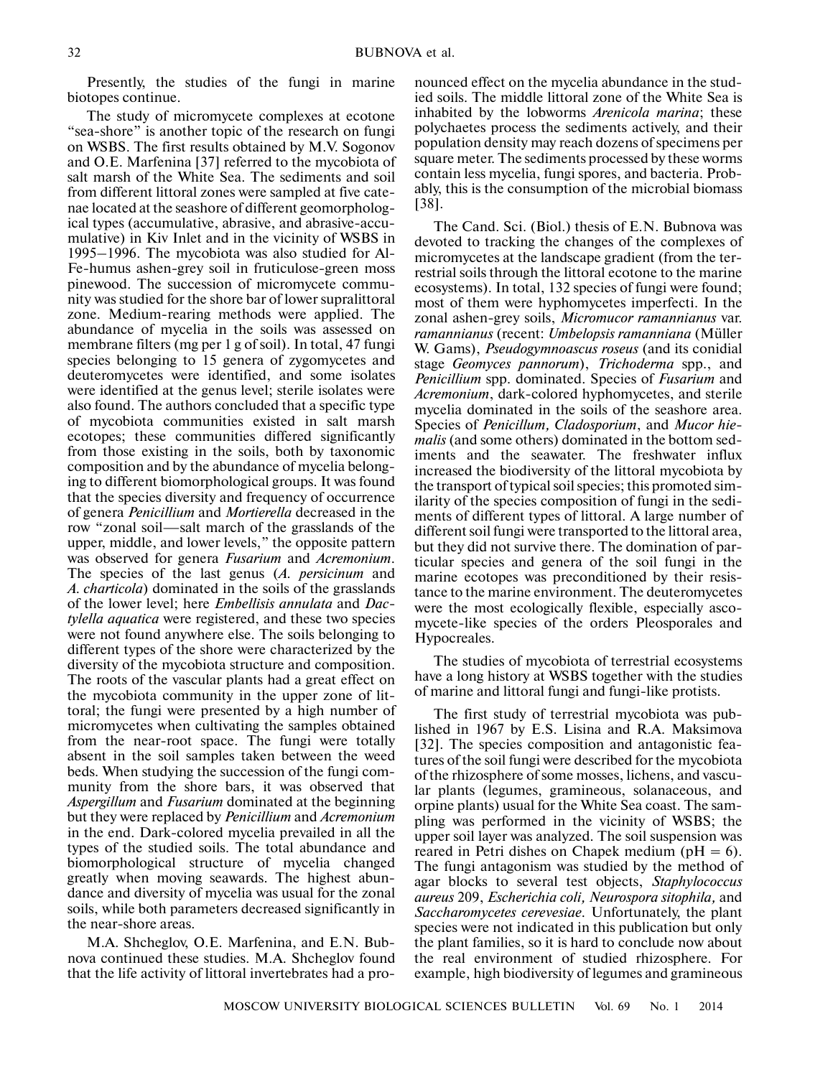Presently, the studies of the fungi in marine biotopes continue.

The study of micromycete complexes at ecotone "sea-shore" is another topic of the research on fungi on WSBS. The first results obtained by M.V. Sogonov and O.E. Marfenina [37] referred to the mycobiota of salt marsh of the White Sea. The sediments and soil from different littoral zones were sampled at five cate nae located at the seashore of different geomorpholog ical types (accumulative, abrasive, and abrasive-accu mulative) in Kiv Inlet and in the vicinity of WSBS in 1995–1996. The mycobiota was also studied for Al- Fe-humus ashen-grey soil in fruticulose-green moss pinewood. The succession of micromycete commu nity was studied for the shore bar of lower supralittoral zone. Medium-rearing methods were applied. The abundance of mycelia in the soils was assessed on membrane filters (mg per 1 g of soil). In total, 47 fungi species belonging to 15 genera of zygomycetes and deuteromycetes were identified, and some isolates were identified at the genus level; sterile isolates were also found. The authors concluded that a specific type of mycobiota communities existed in salt marsh ecotopes; these communities differed significantly from those existing in the soils, both by taxonomic composition and by the abundance of mycelia belong ing to different biomorphological groups. It was found that the species diversity and frequency of occurrence of genera *Penicillium* and *Mortierella* decreased in the row "zonal soil—salt march of the grasslands of the upper, middle, and lower levels," the opposite pattern was observed for genera *Fusarium* and *Acremonium*. The species of the last genus (*A. persicinum* and *A. charticola*) dominated in the soils of the grasslands of the lower level; here *Embellisis annulata* and *Dac tylella aquatica* were registered, and these two species were not found anywhere else. The soils belonging to different types of the shore were characterized by the diversity of the mycobiota structure and composition. The roots of the vascular plants had a great effect on the mycobiota community in the upper zone of lit toral; the fungi were presented by a high number of micromycetes when cultivating the samples obtained from the near-root space. The fungi were totally absent in the soil samples taken between the weed beds. When studying the succession of the fungi com munity from the shore bars, it was observed that *Aspergillum* and *Fusarium* dominated at the beginning but they were replaced by *Penicillium* and *Acremonium* in the end. Dark-colored mycelia prevailed in all the types of the studied soils. The total abundance and biomorphological structure of mycelia changed greatly when moving seawards. The highest abun dance and diversity of mycelia was usual for the zonal soils, while both parameters decreased significantly in the near-shore areas.

M.A. Shcheglov, O.E. Marfenina, and E.N. Bub nova continued these studies. M.A. Shcheglov found that the life activity of littoral invertebrates had a pro-

nounced effect on the mycelia abundance in the stud ied soils. The middle littoral zone of the White Sea is inhabited by the lobworms *Arenicola marina*; these polychaetes process the sediments actively, and their population density may reach dozens of specimens per square meter. The sediments processed by these worms contain less mycelia, fungi spores, and bacteria. Prob ably, this is the consumption of the microbial biomass [38].

The Cand. Sci. (Biol.) thesis of E.N. Bubnova was devoted to tracking the changes of the complexes of micromycetes at the landscape gradient (from the ter restrial soils through the littoral ecotone to the marine ecosystems). In total, 132 species of fungi were found; most of them were hyphomycetes imperfecti. In the zonal ashen-grey soils, *Micromucor ramannianus* var. *ramannianus* (recent: *Umbelopsis ramanniana* (Müller W. Gams), *Pseudogymnoascus roseus* (and its conidial stage *Geomyces pannorum*), *Trichoderma* spp., and *Penicillium* spp. dominated. Species of *Fusarium* and *Acremonium*, dark-colored hyphomycetes, and sterile mycelia dominated in the soils of the seashore area. Species of *Penicillum, Cladosporium*, and *Mucor hie malis* (and some others) dominated in the bottom sed iments and the seawater. The freshwater influx increased the biodiversity of the littoral mycobiota by the transport of typical soil species; this promoted sim ilarity of the species composition of fungi in the sedi ments of different types of littoral. A large number of different soil fungi were transported to the littoral area, but they did not survive there. The domination of par ticular species and genera of the soil fungi in the marine ecotopes was preconditioned by their resis tance to the marine environment. The deuteromycetes were the most ecologically flexible, especially asco mycete-like species of the orders Pleosporales and Hypocreales.

The studies of mycobiota of terrestrial ecosystems have a long history at WSBS together with the studies of marine and littoral fungi and fungi-like protists.

The first study of terrestrial mycobiota was pub lished in 1967 by E.S. Lisina and R.A. Maksimova [32]. The species composition and antagonistic fea tures of the soil fungi were described for the mycobiota of the rhizosphere of some mosses, lichens, and vascu lar plants (legumes, gramineous, solanaceous, and orpine plants) usual for the White Sea coast. The sam pling was performed in the vicinity of WSBS; the upper soil layer was analyzed. The soil suspension was reared in Petri dishes on Chapek medium ( $pH = 6$ ). The fungi antagonism was studied by the method of agar blocks to several test objects, *Staphylococcus aureus* 209, *Escherichia coli, Neurospora sitophila,* and *Saccharomycetes cerevesiae.* Unfortunately, the plant species were not indicated in this publication but only the plant families, so it is hard to conclude now about the real environment of studied rhizosphere. For example, high biodiversity of legumes and gramineous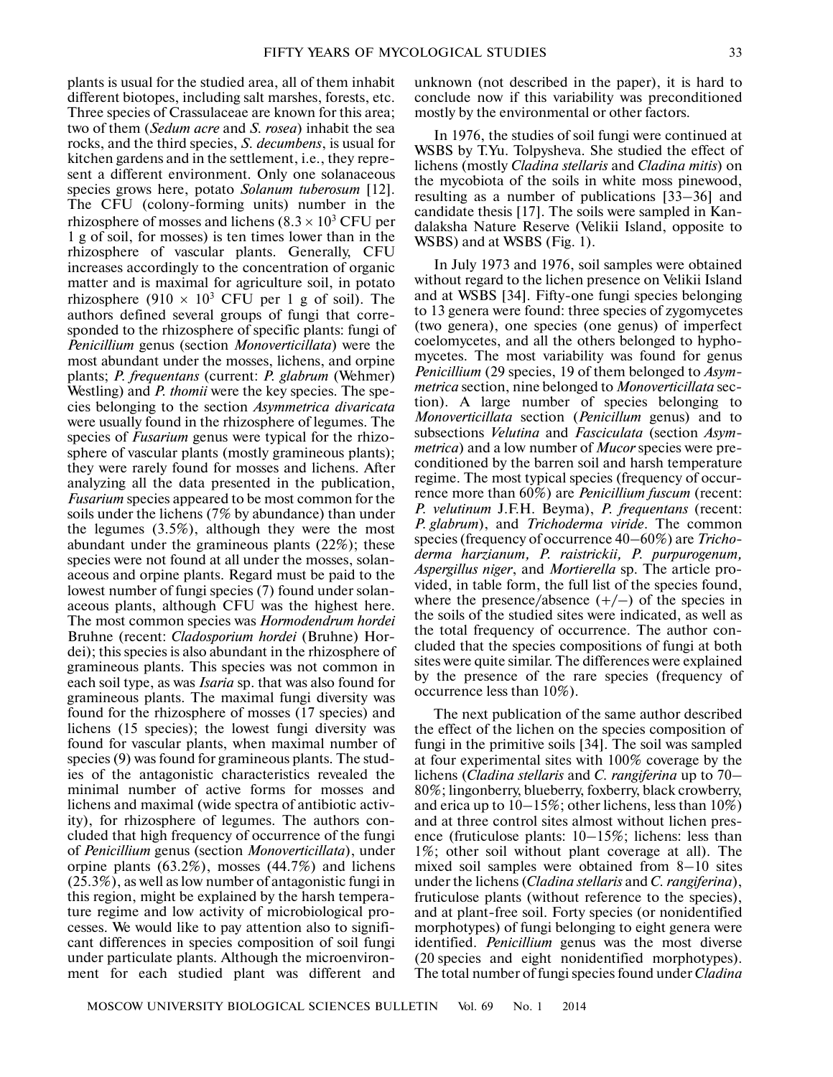plants is usual for the studied area, all of them inhabit different biotopes, including salt marshes, forests, etc. Three species of Crassulaceae are known for this area; two of them (*Sedum acre* and *S. rosea*) inhabit the sea rocks, and the third species, *S. decumbens*, is usual for kitchen gardens and in the settlement, i.e., they repre sent a different environment. Only one solanaceous species grows here, potato *Solanum tuberosum* [12]. The CFU (colony-forming units) number in the rhizosphere of mosses and lichens  $(8.3 \times 10^3 \text{ CFU per})$ 1 g of soil, for mosses) is ten times lower than in the rhizosphere of vascular plants. Generally, CFU increases accordingly to the concentration of organic matter and is maximal for agriculture soil, in potato rhizosphere  $(910 \times 10^3 \text{ CFU per 1 g of soil})$ . The authors defined several groups of fungi that corre sponded to the rhizosphere of specific plants: fungi of *Penicillium* genus (section *Monoverticillata*) were the most abundant under the mosses, lichens, and orpine plants; *P. frequentans* (current: *P. glabrum* (Wehmer) Westling) and *P. thomii* were the key species. The species belonging to the section *Asymmetrica divaricata* were usually found in the rhizosphere of legumes. The species of *Fusarium* genus were typical for the rhizo sphere of vascular plants (mostly gramineous plants); they were rarely found for mosses and lichens. After analyzing all the data presented in the publication, *Fusarium* species appeared to be most common for the soils under the lichens (7% by abundance) than under the legumes (3.5%), although they were the most abundant under the gramineous plants (22%); these species were not found at all under the mosses, solan aceous and orpine plants. Regard must be paid to the lowest number of fungi species (7) found under solan aceous plants, although CFU was the highest here. The most common species was *Hormodendrum hordei* Bruhne (recent: *Cladosporium hordei* (Bruhne) Hor dei); this species is also abundant in the rhizosphere of gramineous plants. This species was not common in each soil type, as was *Isaria* sp. that was also found for gramineous plants. The maximal fungi diversity was found for the rhizosphere of mosses (17 species) and lichens (15 species); the lowest fungi diversity was found for vascular plants, when maximal number of species (9) was found for gramineous plants. The stud ies of the antagonistic characteristics revealed the minimal number of active forms for mosses and lichens and maximal (wide spectra of antibiotic activ ity), for rhizosphere of legumes. The authors con cluded that high frequency of occurrence of the fungi of *Penicillium* genus (section *Monoverticillata*), under orpine plants (63.2%), mosses (44.7%) and lichens (25.3%), as well as low number of antagonistic fungi in this region, might be explained by the harsh tempera ture regime and low activity of microbiological pro cesses. We would like to pay attention also to signifi cant differences in species composition of soil fungi under particulate plants. Although the microenviron ment for each studied plant was different and

unknown (not described in the paper), it is hard to conclude now if this variability was preconditioned mostly by the environmental or other factors.

In 1976, the studies of soil fungi were continued at WSBS by T.Yu. Tolpysheva. She studied the effect of lichens (mostly *Cladina stellaris* and *Cladina mitis*) on the mycobiota of the soils in white moss pinewood, resulting as a number of publications [33–36] and candidate thesis [17]. The soils were sampled in Kandalaksha Nature Reserve (Velikii Island, opposite to WSBS) and at WSBS (Fig. 1).

In July 1973 and 1976, soil samples were obtained without regard to the lichen presence on Velikii Island and at WSBS [34]. Fifty-one fungi species belonging to 13 genera were found: three species of zygomycetes (two genera), one species (one genus) of imperfect coelomycetes, and all the others belonged to hypho mycetes. The most variability was found for genus *Penicillium* (29 species, 19 of them belonged to *Asym metrica* section, nine belonged to *Monoverticillata* sec tion). A large number of species belonging to *Monoverticillata* section (*Penicillum* genus) and to subsections *Velutina* and *Fasciculata* (section *Asym metrica*) and a low number of *Mucor* species were pre conditioned by the barren soil and harsh temperature regime. The most typical species (frequency of occur rence more than 60%) are *Penicillium fuscum* (recent: *P. velutinum* J.F.H. Beyma), *P. frequentans* (recent: *P. glabrum*), and *Trichoderma viride*. The common species (frequency of occurrence 40–60%) are *Tricho derma harzianum, P. raistrickii, P. purpurogenum, Aspergillus niger*, and *Mortierella* sp. The article pro vided, in table form, the full list of the species found, where the presence/absence  $(+/-)$  of the species in the soils of the studied sites were indicated, as well as the total frequency of occurrence. The author con cluded that the species compositions of fungi at both sites were quite similar. The differences were explained by the presence of the rare species (frequency of occurrence less than 10%).

The next publication of the same author described the effect of the lichen on the species composition of fungi in the primitive soils [34]. The soil was sampled at four experimental sites with 100% coverage by the lichens (*Cladina stellaris* and *C. rangiferina* up to 70– 80%; lingonberry, blueberry, foxberry, black crowberry, and erica up to 10–15%; other lichens, less than 10%) and at three control sites almost without lichen pres ence (fruticulose plants: 10–15%; lichens: less than 1%; other soil without plant coverage at all). The mixed soil samples were obtained from 8–10 sites under the lichens (*Cladina stellaris* and *C. rangiferina*), fruticulose plants (without reference to the species), and at plant-free soil. Forty species (or nonidentified morphotypes) of fungi belonging to eight genera were identified. *Penicillium* genus was the most diverse (20 species and eight nonidentified morphotypes). The total number of fungi species found under *Cladina*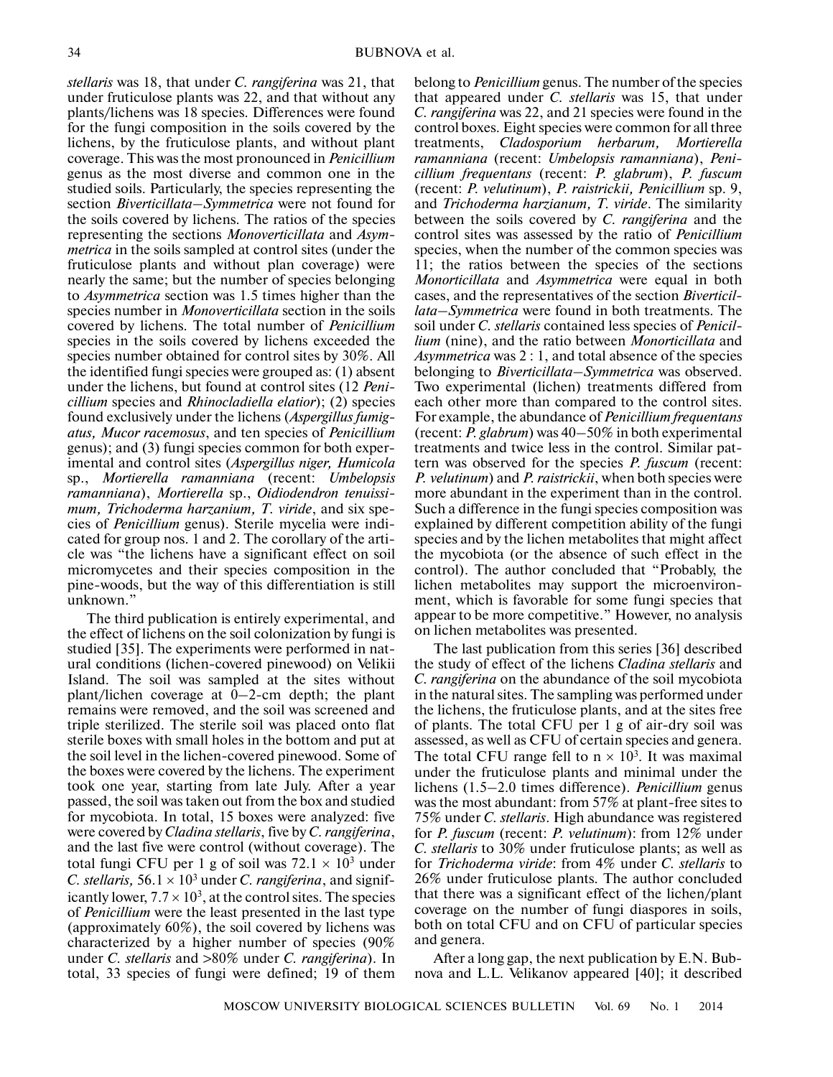*stellaris* was 18, that under *C. rangiferina* was 21, that under fruticulose plants was 22, and that without any plants/lichens was 18 species. Differences were found for the fungi composition in the soils covered by the lichens, by the fruticulose plants, and without plant coverage. This was the most pronounced in *Penicillium* genus as the most diverse and common one in the studied soils. Particularly, the species representing the section *Biverticillata–Symmetrica* were not found for the soils covered by lichens. The ratios of the species representing the sections *Monoverticillata* and *Asym metrica* in the soils sampled at control sites (under the fruticulose plants and without plan coverage) were nearly the same; but the number of species belonging to *Asymmetrica* section was 1.5 times higher than the species number in *Monoverticillata* section in the soils covered by lichens. The total number of *Penicillium* species in the soils covered by lichens exceeded the species number obtained for control sites by 30%. All the identified fungi species were grouped as: (1) absent under the lichens, but found at control sites (12 *Peni cillium* species and *Rhinocladiella elatior*); (2) species found exclusively under the lichens (*Aspergillus fumig atus, Mucor racemosus*, and ten species of *Penicillium* genus); and (3) fungi species common for both exper imental and control sites (*Aspergillus niger, Humicola* sp., *Mortierella ramanniana* (recent: *Umbelopsis ramanniana*), *Mortierella* sp., *Oidiodendron tenuissi mum, Trichoderma harzanium, T. viride*, and six spe cies of *Penicillium* genus). Sterile mycelia were indi cated for group nos. 1 and 2. The corollary of the arti cle was "the lichens have a significant effect on soil micromycetes and their species composition in the pine-woods, but the way of this differentiation is still unknown."

The third publication is entirely experimental, and the effect of lichens on the soil colonization by fungi is studied [35]. The experiments were performed in nat ural conditions (lichen-covered pinewood) on Velikii Island. The soil was sampled at the sites without plant/lichen coverage at 0–2-cm depth; the plant remains were removed, and the soil was screened and triple sterilized. The sterile soil was placed onto flat sterile boxes with small holes in the bottom and put at the soil level in the lichen-covered pinewood. Some of the boxes were covered by the lichens. The experiment took one year, starting from late July. After a year passed, the soil was taken out from the box and studied for mycobiota. In total, 15 boxes were analyzed: five were covered by *Cladina stellaris*, five by *C. rangiferina*, and the last five were control (without coverage). The total fungi CFU per 1 g of soil was  $72.1 \times 10^3$  under *C. stellaris,*  $56.1 \times 10^3$  under *C. rangiferina*, and significantly lower,  $7.7 \times 10^3$ , at the control sites. The species of *Penicillium* were the least presented in the last type (approximately 60%), the soil covered by lichens was characterized by a higher number of species (90% under *C. stellaris* and >80% under *C. rangiferina*). In total, 33 species of fungi were defined; 19 of them belong to *Penicillium* genus. The number of the species that appeared under *C. stellaris* was 15, that under *C. rangiferina* was 22, and 21 species were found in the control boxes. Eight species were common for all three treatments, *Cladosporium herbarum, Mortierella ramanniana* (recent: *Umbelopsis ramanniana*), *Peni cillium frequentans* (recent: *P. glabrum*), *P. fuscum* (recent: *P. velutinum*), *P. raistrickii, Penicillium* sp. 9, and *Trichoderma harzianum, T. viride*. The similarity between the soils covered by *C. rangiferina* and the control sites was assessed by the ratio of *Penicillium* species, when the number of the common species was 11; the ratios between the species of the sections *Monorticillata* and *Asymmetrica* were equal in both cases, and the representatives of the section *Biverticil lata–Symmetrica* were found in both treatments. The soil under *C. stellaris* contained less species of *Penicil lium* (nine), and the ratio between *Monorticillata* and *Asymmetrica* was 2 : 1, and total absence of the species belonging to *Biverticillata–Symmetrica* was observed. Two experimental (lichen) treatments differed from each other more than compared to the control sites. For example, the abundance of *Penicillium frequentans* (recent: *P. glabrum*) was 40–50% in both experimental treatments and twice less in the control. Similar pat tern was observed for the species *P. fuscum* (recent: *P. velutinum*) and *P. raistrickii*, when both species were more abundant in the experiment than in the control. Such a difference in the fungi species composition was explained by different competition ability of the fungi species and by the lichen metabolites that might affect the mycobiota (or the absence of such effect in the control). The author concluded that "Probably, the lichen metabolites may support the microenviron ment, which is favorable for some fungi species that appear to be more competitive." However, no analysis on lichen metabolites was presented.

The last publication from this series [36] described the study of effect of the lichens *Cladina stellaris* and *C. rangiferina* on the abundance of the soil mycobiota in the natural sites. The sampling was performed under the lichens, the fruticulose plants, and at the sites free of plants. The total CFU per 1 g of air-dry soil was assessed, as well as CFU of certain species and genera. The total CFU range fell to  $n \times 10^3$ . It was maximal under the fruticulose plants and minimal under the lichens (1.5–2.0 times difference). *Penicillium* genus was the most abundant: from 57% at plant-free sites to 75% under *C. stellaris*. High abundance was registered for *P. fuscum* (recent: *P. velutinum*): from 12% under *C. stellaris* to 30% under fruticulose plants; as well as for *Trichoderma viride*: from 4% under *C. stellaris* to 26% under fruticulose plants. The author concluded that there was a significant effect of the lichen/plant coverage on the number of fungi diaspores in soils, both on total CFU and on CFU of particular species and genera.

After a long gap, the next publication by E.N. Bub nova and L.L. Velikanov appeared [40]; it described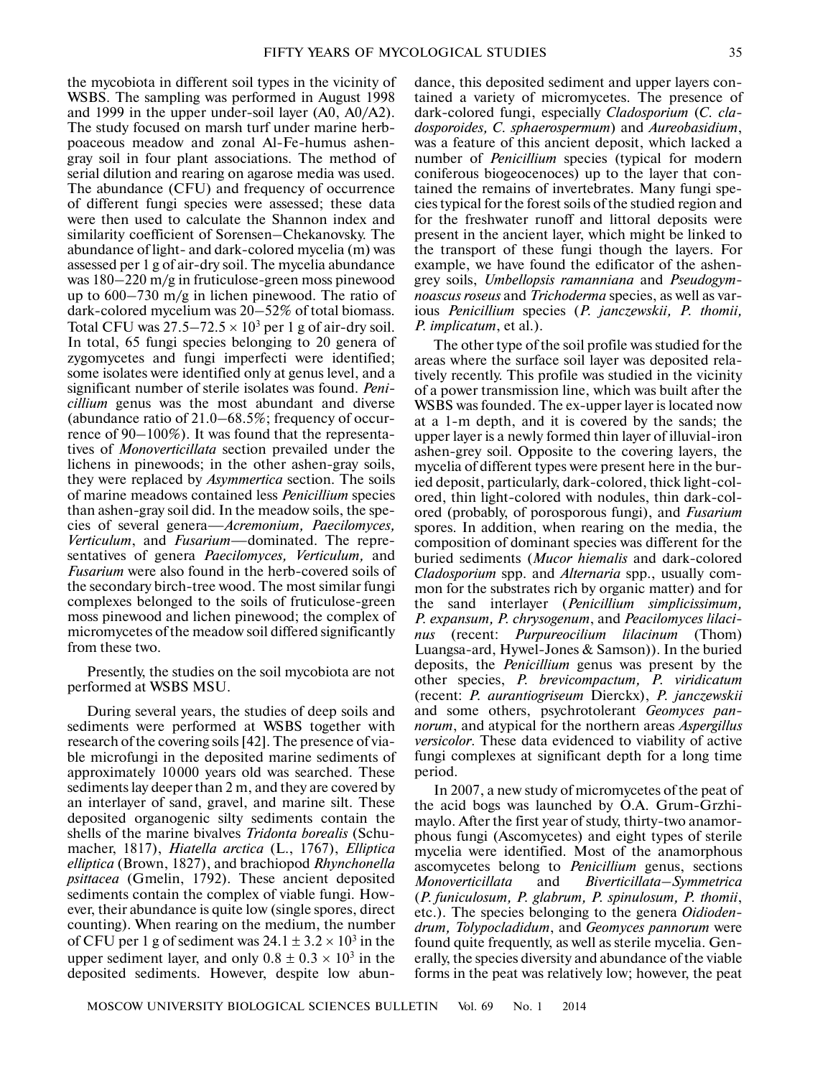the mycobiota in different soil types in the vicinity of WSBS. The sampling was performed in August 1998 and 1999 in the upper under-soil layer (A0, A0/A2). The study focused on marsh turf under marine herb poaceous meadow and zonal Al-Fe-humus ashen gray soil in four plant associations. The method of serial dilution and rearing on agarose media was used. The abundance (CFU) and frequency of occurrence of different fungi species were assessed; these data were then used to calculate the Shannon index and similarity coefficient of Sorensen–Chekanovsky. The abundance of light- and dark-colored mycelia (m) was assessed per 1 g of air-dry soil. The mycelia abundance was 180–220 m/g in fruticulose-green moss pinewood up to 600–730 m/g in lichen pinewood. The ratio of dark-colored mycelium was 20–52% of total biomass. Total CFU was  $27.5 - 72.5 \times 10^3$  per 1 g of air-dry soil. In total, 65 fungi species belonging to 20 genera of zygomycetes and fungi imperfecti were identified; some isolates were identified only at genus level, and a significant number of sterile isolates was found. *Peni cillium* genus was the most abundant and diverse (abundance ratio of 21.0–68.5%; frequency of occur rence of 90–100%). It was found that the representa tives of *Monoverticillata* section prevailed under the lichens in pinewoods; in the other ashen-gray soils, they were replaced by *Asymmertica* section. The soils of marine meadows contained less *Penicillium* species than ashen-gray soil did. In the meadow soils, the spe cies of several genera—*Acremonium, Paecilomyces, Verticulum*, and *Fusarium*—dominated. The repre sentatives of genera *Paecilomyces, Verticulum,* and *Fusarium* were also found in the herb-covered soils of the secondary birch-tree wood. The most similar fungi complexes belonged to the soils of fruticulose-green moss pinewood and lichen pinewood; the complex of micromycetes of the meadow soil differed significantly from these two.

Presently, the studies on the soil mycobiota are not performed at WSBS MSU.

During several years, the studies of deep soils and sediments were performed at WSBS together with research of the covering soils [42]. The presence of via ble microfungi in the deposited marine sediments of approximately 10000 years old was searched. These sediments lay deeper than 2 m, and they are covered by an interlayer of sand, gravel, and marine silt. These deposited organogenic silty sediments contain the shells of the marine bivalves *Tridonta borealis* (Schu macher, 1817), *Hiatella arctica* (L., 1767), *Elliptica elliptica* (Brown, 1827), and brachiopod *Rhynchonella psittacea* (Gmelin, 1792). These ancient deposited sediments contain the complex of viable fungi. How ever, their abundance is quite low (single spores, direct counting). When rearing on the medium, the number of CFU per 1 g of sediment was  $24.1 \pm 3.2 \times 10^3$  in the upper sediment layer, and only  $0.8 \pm 0.3 \times 10^3$  in the deposited sediments. However, despite low abun-

dance, this deposited sediment and upper layers con tained a variety of micromycetes. The presence of dark-colored fungi, especially *Cladosporium* (*C. cla dosporoides, C. sphaerospermum*) and *Aureobasidium*, was a feature of this ancient deposit, which lacked a number of *Penicillium* species (typical for modern coniferous biogeocenoces) up to the layer that con tained the remains of invertebrates. Many fungi spe cies typical for the forest soils of the studied region and for the freshwater runoff and littoral deposits were present in the ancient layer, which might be linked to the transport of these fungi though the layers. For example, we have found the edificator of the ashen grey soils, *Umbellopsis ramanniana* and *Pseudogym noascus roseus* and *Trichoderma* species, as well as var ious *Penicillium* species (*P. janczewskii, P. thomii, P. implicatum*, et al.).

The other type of the soil profile was studied for the areas where the surface soil layer was deposited rela tively recently. This profile was studied in the vicinity of a power transmission line, which was built after the WSBS was founded. The ex-upper layer is located now at a 1-m depth, and it is covered by the sands; the upper layer is a newly formed thin layer of illuvial-iron ashen-grey soil. Opposite to the covering layers, the mycelia of different types were present here in the bur ied deposit, particularly, dark-colored, thick light-col ored, thin light-colored with nodules, thin dark-col ored (probably, of porosporous fungi), and *Fusarium* spores. In addition, when rearing on the media, the composition of dominant species was different for the buried sediments (*Mucor hiemalis* and dark-colored *Cladosporium* spp. and *Alternaria* spp., usually com mon for the substrates rich by organic matter) and for the sand interlayer (*Penicillium simplicissimum, P. expansum, P. chrysogenum*, and *Peacilomyces lilaci nus* (recent: *Purpureocilium lilacinum* (Thom) Luangsa-ard, Hywel-Jones & Samson)). In the buried deposits, the *Penicillium* genus was present by the other species, *P. brevicompactum, P. viridicatum* (recent: *P. aurantiogriseum* Dierckx), *P. janczewskii* and some others, psychrotolerant *Geomyces pan norum*, and atypical for the northern areas *Aspergillus versicolor*. These data evidenced to viability of active fungi complexes at significant depth for a long time period.

In 2007, a new study of micromycetes of the peat of the acid bogs was launched by O.A. Grum-Grzhi maylo. After the first year of study, thirty-two anamor phous fungi (Ascomycetes) and eight types of sterile mycelia were identified. Most of the anamorphous ascomycetes belong to *Penicillium* genus, sections *Monoverticillata* and *Biverticillata–Symmetrica* (*P. funiculosum, P. glabrum, P. spinulosum, P. thomii*, etc.). The species belonging to the genera *Oidioden drum, Tolypocladidum*, and *Geomyces pannorum* were found quite frequently, as well as sterile mycelia. Gen erally, the species diversity and abundance of the viable forms in the peat was relatively low; however, the peat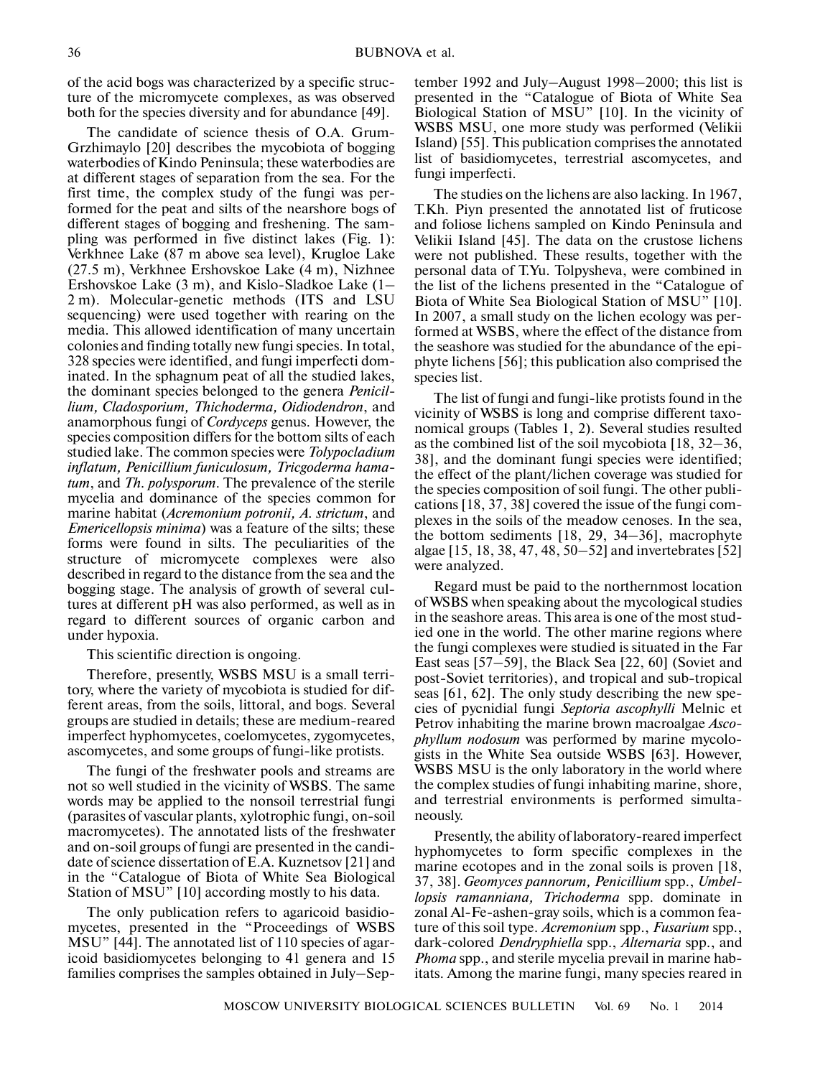of the acid bogs was characterized by a specific struc ture of the micromycete complexes, as was observed both for the species diversity and for abundance [49].

The candidate of science thesis of O.A. Grum- Grzhimaylo [20] describes the mycobiota of bogging waterbodies of Kindo Peninsula; these waterbodies are at different stages of separation from the sea. For the first time, the complex study of the fungi was per formed for the peat and silts of the nearshore bogs of different stages of bogging and freshening. The sam pling was performed in five distinct lakes (Fig. 1): Verkhnee Lake (87 m above sea level), Krugloe Lake (27.5 m), Verkhnee Ershovskoe Lake (4 m), Nizhnee Ershovskoe Lake (3 m), and Kislo-Sladkoe Lake (1– 2 m). Molecular-genetic methods (ITS and LSU sequencing) were used together with rearing on the media. This allowed identification of many uncertain colonies and finding totally new fungi species. In total, 328 species were identified, and fungi imperfecti dom inated. In the sphagnum peat of all the studied lakes, the dominant species belonged to the genera *Penicil lium, Cladosporium, Thichoderma, Oidiodendron*, and anamorphous fungi of *Cordyceps* genus. However, the species composition differs for the bottom silts of each studied lake. The common species were *Tolypocladium inflatum, Penicillium funiculosum, Tricgoderma hama tum*, and *Th. polysporum*. The prevalence of the sterile mycelia and dominance of the species common for marine habitat (*Acremonium potronii, A. strictum*, and *Emericellopsis minima*) was a feature of the silts; these forms were found in silts. The peculiarities of the structure of micromycete complexes were also described in regard to the distance from the sea and the bogging stage. The analysis of growth of several cul tures at different pH was also performed, as well as in regard to different sources of organic carbon and under hypoxia.

This scientific direction is ongoing.

Therefore, presently, WSBS MSU is a small terri tory, where the variety of mycobiota is studied for dif ferent areas, from the soils, littoral, and bogs. Several groups are studied in details; these are medium-reared imperfect hyphomycetes, coelomycetes, zygomycetes, ascomycetes, and some groups of fungi-like protists.

The fungi of the freshwater pools and streams are not so well studied in the vicinity of WSBS. The same words may be applied to the nonsoil terrestrial fungi (parasites of vascular plants, xylotrophic fungi, on-soil macromycetes). The annotated lists of the freshwater and on-soil groups of fungi are presented in the candi date of science dissertation of E.A. Kuznetsov [21] and in the "Catalogue of Biota of White Sea Biological Station of MSU" [10] according mostly to his data.

The only publication refers to agaricoid basidio mycetes, presented in the "Proceedings of WSBS MSU" [44]. The annotated list of 110 species of agar icoid basidiomycetes belonging to 41 genera and 15 families comprises the samples obtained in July–Sep-

tember 1992 and July–August 1998–2000; this list is presented in the "Catalogue of Biota of White Sea Biological Station of MSU" [10]. In the vicinity of WSBS MSU, one more study was performed (Velikii Island) [55]. This publication comprises the annotated list of basidiomycetes, terrestrial ascomycetes, and fungi imperfecti.

The studies on the lichens are also lacking. In 1967, T.Kh. Piyn presented the annotated list of fruticose and foliose lichens sampled on Kindo Peninsula and Velikii Island [45]. The data on the crustose lichens were not published. These results, together with the personal data of T.Yu. Tolpysheva, were combined in the list of the lichens presented in the "Catalogue of Biota of White Sea Biological Station of MSU" [10]. In 2007, a small study on the lichen ecology was per formed at WSBS, where the effect of the distance from the seashore was studied for the abundance of the epi phyte lichens [56]; this publication also comprised the species list.

The list of fungi and fungi-like protists found in the vicinity of WSBS is long and comprise different taxo nomical groups (Tables 1, 2). Several studies resulted as the combined list of the soil mycobiota [18, 32–36, 38], and the dominant fungi species were identified; the effect of the plant/lichen coverage was studied for the species composition of soil fungi. The other publi cations [18, 37, 38] covered the issue of the fungi com plexes in the soils of the meadow cenoses. In the sea, the bottom sediments [18, 29, 34–36], macrophyte algae [15, 18, 38, 47, 48, 50–52] and invertebrates [52] were analyzed.

Regard must be paid to the northernmost location of WSBS when speaking about the mycological studies in the seashore areas. This area is one of the most stud ied one in the world. The other marine regions where the fungi complexes were studied is situated in the Far East seas [57–59], the Black Sea [22, 60] (Soviet and post-Soviet territories), and tropical and sub-tropical seas [61, 62]. The only study describing the new spe cies of pycnidial fungi *Septoria ascophylli* Melnic et Petrov inhabiting the marine brown macroalgae *Asco phyllum nodosum* was performed by marine mycolo gists in the White Sea outside WSBS [63]. However, WSBS MSU is the only laboratory in the world where the complex studies of fungi inhabiting marine, shore, and terrestrial environments is performed simulta neously.

Presently, the ability of laboratory-reared imperfect hyphomycetes to form specific complexes in the marine ecotopes and in the zonal soils is proven [18, 37, 38]. *Geomyces pannorum, Penicillium* spp., *Umbel lopsis ramanniana, Trichoderma* spp. dominate in zonal Al-Fe-ashen-gray soils, which is a common fea ture of this soil type. *Acremonium* spp., *Fusarium* spp., dark-colored *Dendryphiella* spp., *Alternaria* spp., and *Phoma* spp., and sterile mycelia prevail in marine hab itats. Among the marine fungi, many species reared in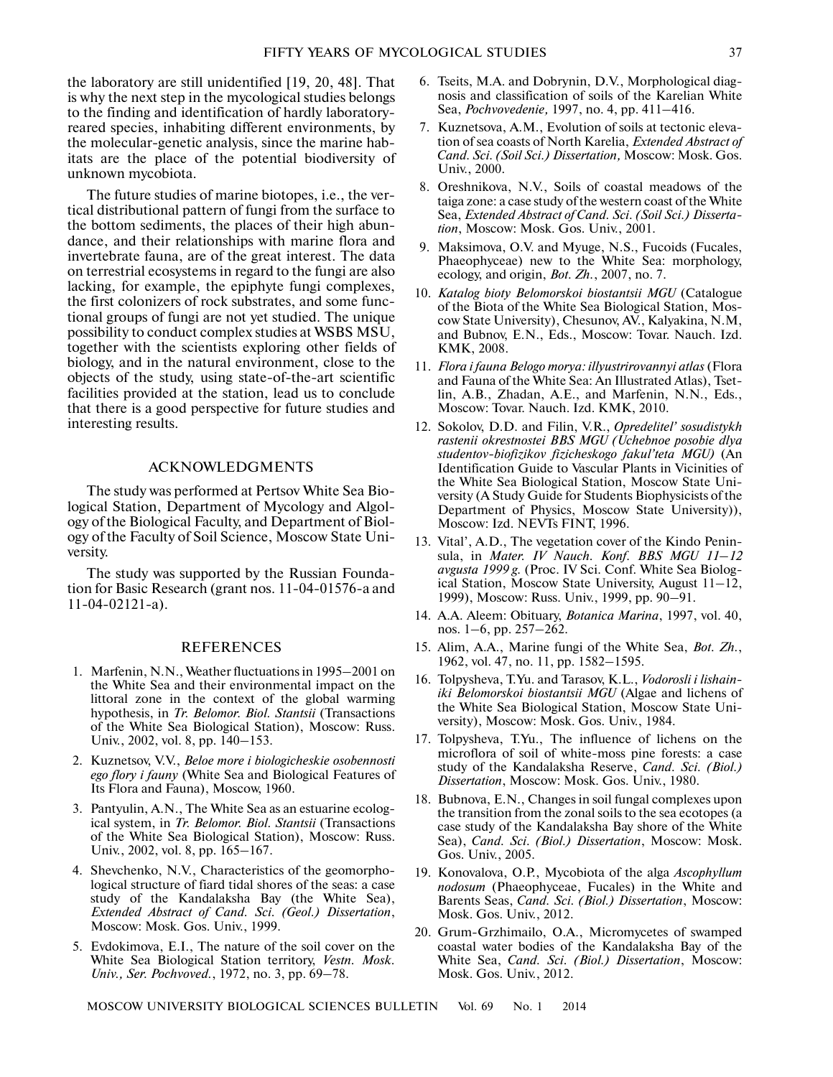the laboratory are still unidentified [19, 20, 48]. That is why the next step in the mycological studies belongs to the finding and identification of hardly laboratory reared species, inhabiting different environments, by the molecular-genetic analysis, since the marine hab itats are the place of the potential biodiversity of unknown mycobiota.

The future studies of marine biotopes, i.e., the ver tical distributional pattern of fungi from the surface to the bottom sediments, the places of their high abun dance, and their relationships with marine flora and invertebrate fauna, are of the great interest. The data on terrestrial ecosystems in regard to the fungi are also lacking, for example, the epiphyte fungi complexes, the first colonizers of rock substrates, and some func tional groups of fungi are not yet studied. The unique possibility to conduct complex studies at WSBS MSU, together with the scientists exploring other fields of biology, and in the natural environment, close to the objects of the study, using state-of-the-art scientific facilities provided at the station, lead us to conclude that there is a good perspective for future studies and interesting results.

#### ACKNOWLEDGMENTS

The study was performed at Pertsov White Sea Bio logical Station, Department of Mycology and Algol ogy of the Biological Faculty, and Department of Biol ogy of the Faculty of Soil Science, Moscow State Uni versity.

The study was supported by the Russian Founda tion for Basic Research (grant nos. 11-04-01576-a and 11-04-02121-a).

#### REFERENCES

- 1. Marfenin, N.N., Weather fluctuations in 1995–2001 on the White Sea and their environmental impact on the littoral zone in the context of the global warming hypothesis, in *Tr. Belomor. Biol. Stantsii* (Transactions of the White Sea Biological Station), Moscow: Russ. Univ., 2002, vol. 8, pp. 140–153.
- 2. Kuznetsov, V.V., *Beloe more i biologicheskie osobennosti ego flory i fauny* (White Sea and Biological Features of Its Flora and Fauna), Moscow, 1960.
- 3. Pantyulin, A.N., The White Sea as an estuarine ecolog ical system, in *Tr. Belomor. Biol. Stantsii* (Transactions of the White Sea Biological Station), Moscow: Russ. Univ., 2002, vol. 8, pp. 165–167.
- 4. Shevchenko, N.V., Characteristics of the geomorpho logical structure of fiard tidal shores of the seas: a case study of the Kandalaksha Bay (the White Sea), *Extended Abstract of Cand. Sci. (Geol.) Dissertation*, Moscow: Mosk. Gos. Univ., 1999.
- 5. Evdokimova, E.I., The nature of the soil cover on the White Sea Biological Station territory, *Vestn. Mosk. Univ., Ser. Pochvoved.*, 1972, no. 3, pp. 69–78.
- 6. Tseits, M.A. and Dobrynin, D.V., Morphological diag nosis and classification of soils of the Karelian White Sea, *Pochvovedenie,* 1997, no. 4, pp. 411–416.
- 7. Kuznetsova, A.M., Evolution of soils at tectonic eleva tion of sea coasts of North Karelia, *Extended Abstract of Cand. Sci. (Soil Sci.) Dissertation,* Moscow: Mosk. Gos. Univ., 2000.
- 8. Oreshnikova, N.V., Soils of coastal meadows of the taiga zone: a case study of the western coast of the White Sea, *Extended Abstract of Cand. Sci. (Soil Sci.) Disserta tion*, Moscow: Mosk. Gos. Univ., 2001.
- 9. Maksimova, O.V. and Myuge, N.S., Fucoids (Fucales, Phaeophyceae) new to the White Sea: morphology, ecology, and origin, *Bot. Zh.*, 2007, no. 7.
- 10. *Katalog bioty Belomorskoi biostantsii MGU* (Catalogue of the Biota of the White Sea Biological Station, Mos cow State University), Chesunov, AV., Kalyakina, N.M, and Bubnov, E.N., Eds., Moscow: Tovar. Nauch. Izd. KMK, 2008.
- 11. *Flora i fauna Belogo morya: illyustrirovannyi atlas* (Flora and Fauna of the White Sea: An Illustrated Atlas), Tset lin, A.B., Zhadan, A.E., and Marfenin, N.N., Eds., Moscow: Tovar. Nauch. Izd. KMK, 2010.
- 12. Sokolov, D.D. and Filin, V.R., *Opredelitel' sosudistykh rastenii okrestnostei BBS MGU (Uchebnoe posobie dlya studentov-biofizikov fizicheskogo fakul'teta MGU)* (An Identification Guide to Vascular Plants in Vicinities of the White Sea Biological Station, Moscow State Uni versity (A Study Guide for Students Biophysicists of the Department of Physics, Moscow State University)), Moscow: Izd. NEVTs FINT, 1996.
- 13. Vital', A.D., The vegetation cover of the Kindo Penin sula, in *Mater. IV Nauch. Konf. BBS MGU 11–12 avgusta 1999 g.* (Proc. IV Sci. Conf. White Sea Biolog ical Station, Moscow State University, August 11–12, 1999), Moscow: Russ. Univ., 1999, pp. 90–91.
- 14. A.A. Aleem: Obituary, *Botanica Marina*, 1997, vol. 40, nos. 1–6, pp. 257–262.
- 15. Alim, A.A., Marine fungi of the White Sea, *Bot. Zh.*, 1962, vol. 47, no. 11, pp. 1582–1595.
- 16. Tolpysheva, T.Yu. and Tarasov, K.L., *Vodorosli i lishain iki Belomorskoi biostantsii MGU* (Algae and lichens of the White Sea Biological Station, Moscow State Uni versity), Moscow: Mosk. Gos. Univ., 1984.
- 17. Tolpysheva, T.Yu., The influence of lichens on the microflora of soil of white-moss pine forests: a case study of the Kandalaksha Reserve, *Cand. Sci. (Biol.) Dissertation*, Moscow: Mosk. Gos. Univ., 1980.
- 18. Bubnova, E.N., Changes in soil fungal complexes upon the transition from the zonal soils to the sea ecotopes (a case study of the Kandalaksha Bay shore of the White Sea), *Cand. Sci. (Biol.) Dissertation*, Moscow: Mosk. Gos. Univ., 2005.
- 19. Konovalova, O.P., Mycobiota of the alga *Ascophyllum nodosum* (Phaeophyceae, Fucales) in the White and Barents Seas, *Cand. Sci. (Biol.) Dissertation*, Moscow: Mosk. Gos. Univ., 2012.
- 20. Grum-Grzhimailo, O.A., Micromycetes of swamped coastal water bodies of the Kandalaksha Bay of the White Sea, *Cand. Sci. (Biol.) Dissertation*, Moscow: Mosk. Gos. Univ., 2012.

MOSCOW UNIVERSITY BIOLOGICAL SCIENCES BULLETIN Vol. 69 No. 1 2014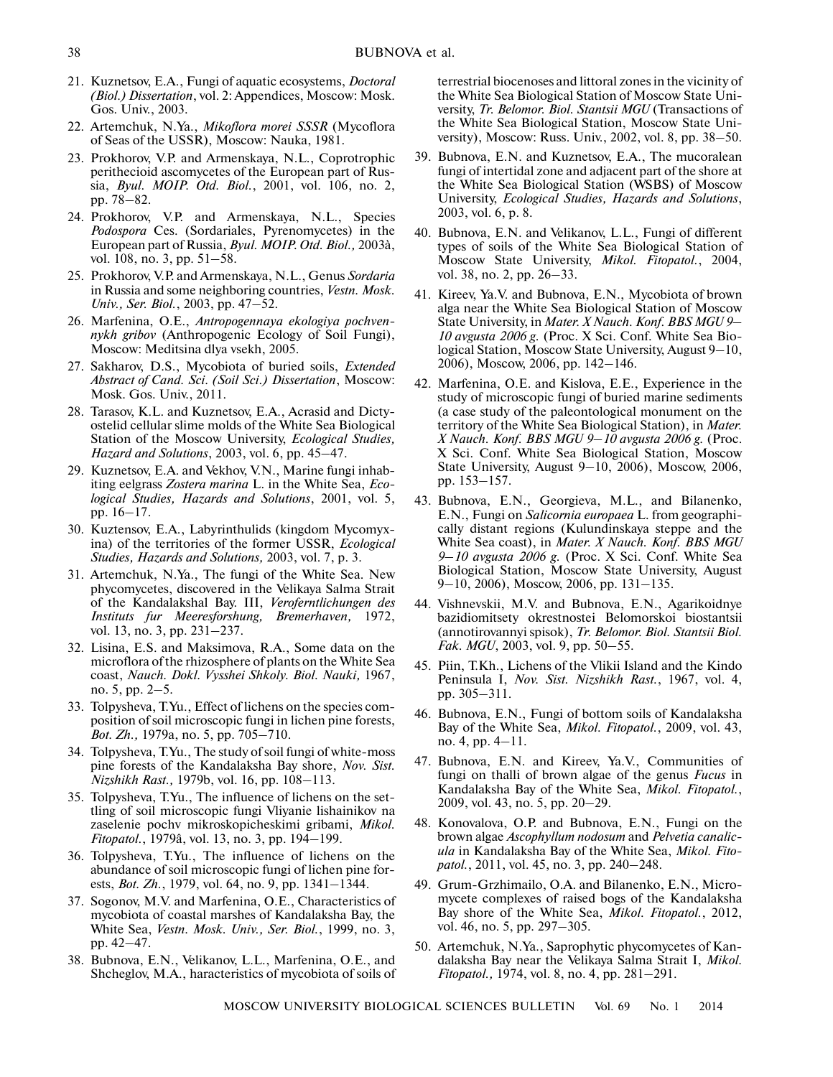- 21. Kuznetsov, E.A., Fungi of aquatic ecosystems, *Doctoral (Biol.) Dissertation*, vol. 2: Appendices, Moscow: Mosk. Gos. Univ., 2003.
- 22. Artemchuk, N.Ya., *Mikoflora morei SSSR* (Mycoflora of Seas of the USSR), Moscow: Nauka, 1981.
- 23. Prokhorov, V.P. and Armenskaya, N.L., Coprotrophic perithecioid ascomycetes of the European part of Rus sia, *Byul. MOIP. Otd. Biol.*, 2001, vol. 106, no. 2, pp. 78–82.
- 24. Prokhorov, V.P. and Armenskaya, N.L., Species *Podospora* Ces. (Sordariales, Pyrenomycetes) in the European part of Russia, *Byul. MOIP. Otd. Biol.,* 2003à, vol. 108, no. 3, pp. 51–58.
- 25. Prokhorov, V.P. and Armenskaya, N.L., Genus *Sordaria* in Russia and some neighboring countries, *Vestn. Mosk. Univ., Ser. Biol.*, 2003, pp. 47–52.
- 26. Marfenina, O.E., *Antropogennaya ekologiya pochven nykh gribov* (Anthropogenic Ecology of Soil Fungi), Moscow: Meditsina dlya vsekh, 2005.
- 27. Sakharov, D.S., Mycobiota of buried soils, *Extended Abstract of Cand. Sci. (Soil Sci.) Dissertation*, Moscow: Mosk. Gos. Univ., 2011.
- 28. Tarasov, K.L. and Kuznetsov, E.A., Acrasid and Dicty ostelid cellular slime molds of the White Sea Biological Station of the Moscow University, *Ecological Studies, Hazard and Solutions*, 2003, vol. 6, pp. 45–47.
- 29. Kuznetsov, E.A. and Vekhov, V.N., Marine fungi inhab iting eelgrass *Zostera marina* L. in the White Sea, *Eco logical Studies, Hazards and Solutions*, 2001, vol. 5, pp. 16–17.
- 30. Kuztensov, E.A., Labyrinthulids (kingdom Mycomyx ina) of the territories of the former USSR, *Ecological Studies, Hazards and Solutions,* 2003, vol. 7, p. 3.
- 31. Artemchuk, N.Ya., The fungi of the White Sea. New phycomycetes, discovered in the Velikaya Salma Strait of the Kandalakshal Bay. III, *Veroferntlichungen des Instituts fur Meeresforshung, Bremerhaven,* 1972, vol. 13, no. 3, pp. 231–237.
- 32. Lisina, E.S. and Maksimova, R.A., Some data on the microflora of the rhizosphere of plants on the White Sea coast, *Nauch. Dokl. Vysshei Shkoly. Biol. Nauki,* 1967, no. 5, pp. 2–5.
- 33. Tolpysheva, T.Yu., Effect of lichens on the species com position of soil microscopic fungi in lichen pine forests, *Bot. Zh.,* 1979a, no. 5, pp. 705–710.
- 34. Tolpysheva, T.Yu., The study of soil fungi of white-moss pine forests of the Kandalaksha Bay shore, *Nov. Sist. Nizshikh Rast.,* 1979b, vol. 16, pp. 108–113.
- 35. Tolpysheva, T.Yu., The influence of lichens on the set tling of soil microscopic fungi Vliyanie lishainikov na zaselenie pochv mikroskopicheskimi gribami, *Mikol. Fitopatol.*, 1979â, vol. 13, no. 3, pp. 194–199.
- 36. Tolpysheva, T.Yu., The influence of lichens on the abundance of soil microscopic fungi of lichen pine for ests, *Bot. Zh.*, 1979, vol. 64, no. 9, pp. 1341–1344.
- 37. Sogonov, M.V. and Marfenina, O.E., Characteristics of mycobiota of coastal marshes of Kandalaksha Bay, the White Sea, *Vestn. Mosk. Univ., Ser. Biol.*, 1999, no. 3, pp. 42–47.
- 38. Bubnova, E.N., Velikanov, L.L., Marfenina, O.E., and Shcheglov, M.A., haracteristics of mycobiota of soils of

terrestrial biocenoses and littoral zones in the vicinity of the White Sea Biological Station of Moscow State Uni versity, *Tr. Belomor. Biol. Stantsii MGU* (Transactions of the White Sea Biological Station, Moscow State Uni versity), Moscow: Russ. Univ., 2002, vol. 8, pp. 38–50.

- 39. Bubnova, E.N. and Kuznetsov, E.A., The mucoralean fungi of intertidal zone and adjacent part of the shore at the White Sea Biological Station (WSBS) of Moscow University, *Ecological Studies, Hazards and Solutions*, 2003, vol. 6, p. 8.
- 40. Bubnova, E.N. and Velikanov, L.L., Fungi of different types of soils of the White Sea Biological Station of Moscow State University, *Mikol. Fitopatol.*, 2004, vol. 38, no. 2, pp. 26–33.
- 41. Kireev, Ya.V. and Bubnova, E.N., Mycobiota of brown alga near the White Sea Biological Station of Moscow State University, in *Mater. X Nauch. Konf. BBS MGU 9– 10 avgusta 2006 g.* (Proc. X Sci. Conf. White Sea Bio logical Station, Moscow State University, August 9–10, 2006), Moscow, 2006, pp. 142–146.
- 42. Marfenina, O.E. and Kislova, E.E., Experience in the study of microscopic fungi of buried marine sediments (a case study of the paleontological monument on the territory of the White Sea Biological Station), in *Mater. X Nauch. Konf. BBS MGU 9–10 avgusta 2006 g.* (Proc. X Sci. Conf. White Sea Biological Station, Moscow State University, August 9–10, 2006), Moscow, 2006, pp. 153–157.
- 43. Bubnova, E.N., Georgieva, M.L., and Bilanenko, E.N., Fungi on *Salicornia europaea* L. from geographi cally distant regions (Kulundinskaya steppe and the White Sea coast), in *Mater. X Nauch. Konf. BBS MGU 9–10 avgusta 2006 g.* (Proc. X Sci. Conf. White Sea Biological Station, Moscow State University, August 9–10, 2006), Moscow, 2006, pp. 131–135.
- 44. Vishnevskii, M.V. and Bubnova, E.N., Agarikoidnye bazidiomitsety okrestnostei Belomorskoi biostantsii (annotirovannyi spisok), *Tr. Belomor. Biol. Stantsii Biol. Fak. MGU*, 2003, vol. 9, pp. 50–55.
- 45. Piin, T.Kh., Lichens of the Vlikii Island and the Kindo Peninsula I, *Nov. Sist. Nizshikh Rast.*, 1967, vol. 4, pp. 305–311.
- 46. Bubnova, E.N., Fungi of bottom soils of Kandalaksha Bay of the White Sea, *Mikol. Fitopatol.*, 2009, vol. 43, no. 4, pp. 4–11.
- 47. Bubnova, E.N. and Kireev, Ya.V., Communities of fungi on thalli of brown algae of the genus *Fucus* in Kandalaksha Bay of the White Sea, *Mikol. Fitopatol.*, 2009, vol. 43, no. 5, pp. 20–29.
- 48. Konovalova, O.P. and Bubnova, E.N., Fungi on the brown algae *Ascophyllum nodosum* and *Pelvetia canalic ula* in Kandalaksha Bay of the White Sea, *Mikol. Fito patol.*, 2011, vol. 45, no. 3, pp. 240–248.
- 49. Grum-Grzhimailo, O.A. and Bilanenko, E.N., Micro mycete complexes of raised bogs of the Kandalaksha Bay shore of the White Sea, *Mikol. Fitopatol.*, 2012, vol. 46, no. 5, pp. 297–305.
- 50. Artemchuk, N.Ya., Saprophytic phycomycetes of Kan dalaksha Bay near the Velikaya Salma Strait I, *Mikol. Fitopatol.,* 1974, vol. 8, no. 4, pp. 281–291.